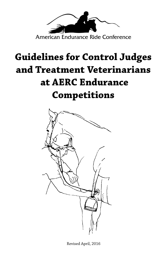

# **Guidelines for Control Judges and Treatment Veterinarians at AERC Endurance Competitions**



Revised April, 2016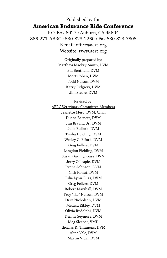# Published by the **American Endurance Ride Conference** P.O. Box 6027 • Auburn, CA 95604 866-271-AERC • 530-823-2260 • Fax 530-823-7805

E-mail: office@aerc.org Website: www.aerc.org

Originally prepared by: Matthew Mackay-Smith, DVM Bill Bentham, DVM Mort Cohen, DVM Todd Nelson, DVM Kerry Ridgway, DVM Jim Steere, DVM

Revised by:

AERC Veterinary Committee Members Jeanette Mero, DVM, Chair Duane Barnett, DVM Jim Bryant, Jr., DVM Julie Bullock, DVM Trisha Dowling, DVM Wesley G. Elford, DVM Greg Fellers, DVM Langdon Fielding, DVM Susan Garlinghouse, DVM Jerry Gillespie, DVM Lynne Johnson, DVM Nick Kohut, DVM Julia Lynn-Elias, DVM Greg Fellers, DVM Robert Marshall, DVM Troy "Ike" Nelson, DVM Dave Nicholson, DVM Melissa Ribley, DVM Olivia Rudolphi, DVM Dennis Seymore, DVM Meg Sleeper, VMD Thomas R. Timmons, DVM Alina Vale, DVM Martin Vidal, DVM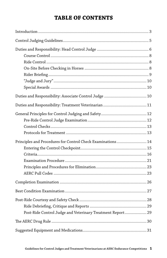# **TABLE OF CONTENTS**

| Principles and Procedures for Control Check Examinations 14 |  |
|-------------------------------------------------------------|--|
|                                                             |  |
|                                                             |  |
|                                                             |  |
| Post-Ride Control Judge and Veterinary Treatment Report 29  |  |
|                                                             |  |
|                                                             |  |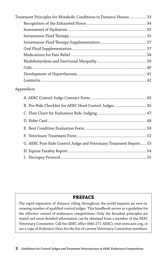| Treatment Principles for Metabolic Conditions in Distance Horses 33 |  |
|---------------------------------------------------------------------|--|
|                                                                     |  |
|                                                                     |  |
|                                                                     |  |
|                                                                     |  |
|                                                                     |  |
|                                                                     |  |
|                                                                     |  |
|                                                                     |  |
|                                                                     |  |
|                                                                     |  |

#### Appendices

| B. Pre-Ride Checklist for AERC Head Control Judges 45              |  |
|--------------------------------------------------------------------|--|
|                                                                    |  |
|                                                                    |  |
|                                                                    |  |
|                                                                    |  |
| G. AERC Post-Ride Control Judge and Veterinary Treatment Report 53 |  |
|                                                                    |  |
|                                                                    |  |
|                                                                    |  |

# **PREFACE**

The rapid expansion of distance riding throughout the world requires an ever-increasing number of qualified control judges. This handbook serves as a guideline for the effective control of endurance competitions. Only the broadest principles are stated and more detailed information can be obtained from a member of the AERC Veterinary Committee. Call the AERC office (866-271-AERC), visit www.aerc.org, or see a copy of *Endurance News* for the list of current Veterinary Committee members.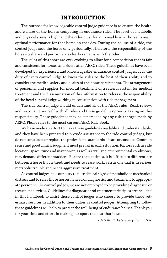# **INTRODUCTION**

The purpose for knowledgeable control judge guidance is to ensure the health and welfare of the horses competing in endurance rides. The level of metabolic and physical stress is high, and the rider must learn to read his/her horse to reach optimal performance for that horse on that day. During the course of a ride, the control judge sees the horse only periodically. Therefore, the responsibility of the horse's welfare and performance clearly remains with the rider.

The rules of this sport are ever evolving to allow for a competition that is fair and consistent for horses and riders at all AERC rides. These guidelines have been developed by experienced and knowledgeable endurance control judges. It is the duty of every control judge to know the rules to the best of their ability and to consider the medical safety and health of the horse participants. The arrangement of personnel and supplies for medical treatment or a referral system for medical treatment and the dissemination of this information to riders is the responsibility of the head control judge working in consultation with ride management.

The ride control judge should understand all of the AERC rules. Read, review, and reacquaint yourself with all rules and these guidelines prior to taking on this responsibility. These guidelines may be superseded by any rule changes made by AERC. Please refer to the most current AERC Rule Book.

We have made an effort to make these guidelines readable and understandable, and they have been prepared to provide assistance to the ride control judges, but do not constitute or replace the professional standards of care or conduct. Common sense and good clinical judgment must prevail in each situation. Factors such as ride location, space, time and manpower, as well as trail and environmental conditions, may demand different practices. Realize that, at times, it is difficult to differentiate between a horse that is tired, and needs to cease work, versus one that is in serious metabolic trouble and needs aggressive treatment.

As control judges, it is our duty to note clinical signs of metabolic or mechanical distress and to refer those horses in need of diagnostics and treatment to appropriate personnel. As control judges, we are not employed to be providing diagnostic or treatment services. Guidelines for diagnostic and treatment principles are included in this handbook to assist those control judges who choose to provide these veterinary services in addition to their duties as control judges. Attempting to follow these guidelines will help to protect the well-being of endurance horses. Thank you for your time and effort in making our sport the best that it can be.

*2016 AERC Veterinary Committee*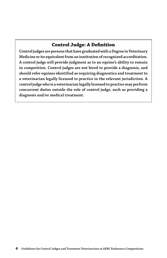# **Control Judge: A Definition**

**Control judges are persons that have graduated with a Degree in Veterinary Medicine or its equivalent from an institution of recognized accreditation. A control judge will provide judgment as to an equine's ability to remain in competition. Control judges are not hired to provide a diagnosis, and should refer equines identified as requiring diagnostics and treatment to a veterinarian legally licensed to practice in the relevant jurisdiction. A control judge who is a veterinarian legally licensed to practice may perform concurrent duties outside the role of control judge, such as providing a diagnosis and/or medical treatment.**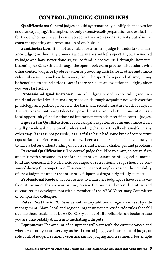# **CONTROL JUDGING GUIDELINES**

**Qualifications:** Control judges should systematically qualify themselves for endurance judging. This implies not only extensive self-preparation and evaluation for those who have never been involved in this professional activity but also the constant updating and reevaluation of one's skills.

**Familiarization:** It is not advisable for a control judge to undertake endurance judging without any previous acquaintance with the sport. If you are invited to judge and have never done so, try to familiarize yourself through literature, becoming AERC certified through the open-book exam process, discussions with other control judges or by observation or providing assistance at other endurance rides. Likewise, if you have been away from the sport for a period of time, it may be beneficial to attend a ride to see if there has been an evolution in judging since you were last active.

**Professional Qualifications:** Control judging of endurance riding requires rapid and critical decision-making based on thorough acquaintance with exercise physiology and pathology. Review the basic and recent literature on that subject. The Veterinary Continuing Education provided at the annual AERC Convention is an ideal opportunity for education and interaction with other certified control judges.

**Equestrian Qualification:** If you can gain experience as an endurance rider, it will provide a dimension of understanding that is not really obtainable in any other way. If that is not possible, it is useful to have had some kind of competitive equestrian experience or at least to have been a casual rider. This may allow you to have a better understanding of a horse's and a rider's challenges and problems.

**Personal Qualifications:** The control judge should be tolerant, objective, firm and fair, with a personality that is consistently pleasant, helpful, good-humored, kind and concerned. No alcoholic beverages or recreational drugs should be consumed during the competition. This cannot be too strongly stressed: the credibility of one's judgment under the influence of liquor or drugs is rightfully suspect.

**Professional Review:** If you are new to endurance judging, or have been away from it for more than a year or two, review the basic and recent literature and discuss recent developments with a member of the AERC Veterinary Committee or comparable colleague.

**Rules:** Read the AERC Rules as well as any additional regulations set by ride management. Many local and regional organizations provide ride rules that fall outside those established by AERC. Carry copies of all applicable rule books in case you are unavoidably drawn into mediating a dispute.

**Equipment:** The amount of equipment will vary with the circumstances and whether or not you are serving as head control judge, assistant control judge, or sole control judge/treatment veterinarian for judging and treatment. For simple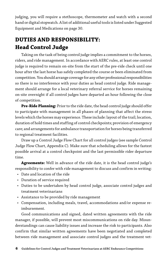judging, you will require a stethoscope, thermometer and watch with a second hand or digital stopwatch. A list of additional useful tools is listed under Suggested Equipment and Medications on page 30.

# **DUTIES AND RESPONSIBILITY: Head Control Judge**

Taking on the task of being control judge implies a commitment to the horses, riders, and ride management. In accordance with AERC rules, at least one control judge is required to remain on-site from the start of the pre-ride check until one hour after the last horse has safely completed the course or been eliminated from competition. You should arrange coverage for any other professional responsibilities so there is no interference with your duties as head control judge. Ride management should arrange for a local veterinary referral service for horses remaining on-site overnight if all control judges have departed an hour following the close of competition.

**Pre-Ride Planning:** Prior to the ride date, the head control judge should offer to participate with management in all phases of planning that affect the stress levels which the horses may experience. These include: layout of the trail; location, duration of hold times and staffing of control checkpoints; provision of emergency care; and arrangements for ambulance transportation for horses being transferred to regional treatment facilities.

Draw up a Control Judge Flow Chart for all control judges (see sample Control Judge Flow Chart, Appendix C). Make sure that scheduling allows for the fastest possible arrival at a control checkpoint and the last permissible rider departure time.

**Agreements:** Well in advance of the ride date, it is the head control judge's responsibility to confer with ride management to discuss and confirm in writing:

- Date and location of the ride
- Duration of service required
- Duties to be undertaken by head control judge, associate control judges and treatment veterinarians
- Assistance to be provided by ride management
- Compensation, including meals, travel, accommodations and/or expense reimbursement.

Good communications and signed, dated written agreements with the ride manager, if possible, will prevent most miscommunications on ride day. Misunderstandings can cause liability issues and increase the risk to participants. Also confirm that similar written agreements have been negotiated and completed between ride management and associate control judges and the treatment vet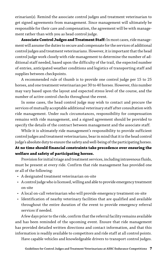erinarian(s). Remind the associate control judges and treatment veterinarian to get signed agreements from management. Since management will ultimately be responsible for their care and compensation, the agreement will be with management rather than with you as head control judge.

**Associate Control Judges and Treatment Staff:** In most cases, ride management will assume the duties to secure and compensate for the services of additional control judges and treatment veterinarians. However, it is important that the head control judge work closely with ride management to determine the number of additional staff needed, based upon the difficulty of the trail, the expected number of entries, anticipated weather conditions and logistics of transporting staff and supplies between checkpoints.

A recommended rule of thumb is to provide one control judge per 15 to 25 horses, and one treatment veterinarian per 30 to 40 horses. However, this number may vary based upon the layout and expected stress level of the course, and the number of active control checks throughout the event.

In some cases, the head control judge may wish to contact and procure the services of mutually acceptable additional veterinary staff after consultation with ride management. Under such circumstances, responsibility for compensation remains with ride management, and a signed agreement should be provided to specify the details of the contract between management and the associate staff.

While it is ultimately ride management's responsibility to provide sufficient control judges and treatment veterinarians, bear in mind that it is the head control judge's absolute duty to ensure the safety and well-being of the participating horses. **At no time should financial constraints take precedence over ensuring the welfare and safety of participating horses.**

Provision for initial triage and treatment services, including intravenous fluids, must be present at every ride. Confirm that ride management has provided one or all of the following:

- A designated treatment veterinarian on-site
- A control judge who is licensed, willing and able to provide emergency treatment on-site
- A local on-call veterinarian who will provide emergency treatment on-site
- Identification of nearby veterinary facilities that are qualified and available throughout the entire duration of the event to provide emergency referral services if needed.

A few days prior to the ride, confirm that the referral facility remains available and has been reminded of the upcoming event. Ensure that ride management has provided detailed written directions and contact information, and that this information is readily available to competitors and ride staff at all control points.

Have capable vehicles and knowledgeable drivers to transport control judges.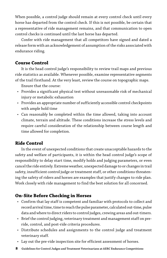When possible, a control judge should remain at every control check until every horse has departed from the control check. If this is not possible, be certain that a representative of ride management remains, and that communication to open control checks is continued until the last horse has departed.

Confer with ride management that all competitors have signed and dated a release form with an acknowledgement of assumption of the risks associated with endurance riding.

#### **Course Control**

It is the head control judge's responsibility to review trail maps and previous ride statistics as available. Whenever possible, examine representative segments of the trail firsthand. At the very least, review the course on topographic maps.

Ensure that the course:

- Provides a significant physical test without unreasonable risk of mechanical injury or metabolic exhaustion
- Provides an appropriate number of sufficiently accessible control checkpoints with ample hold time
- Can reasonably be completed within the time allowed, taking into account climate, terrain and altitude. These conditions increase the stress levels and require careful consideration of the relationship between course length and time allowed for completion.

### **Ride Control**

In the event of unexpected conditions that create unacceptable hazards to the safety and welfare of participants, it is within the head control judge's scope of responsibility to delay start time, modify holds and judging parameters, or even cancel the ride entirely. Extreme weather, unexpected damage to or changes in trail safety, insufficient control judge or treatment staff, or other conditions threatening the safety of riders and horses are examples that justify changes to ride plan. Work closely with ride management to find the best solution for all concerned.

### **On-Site Before Checking in Horses**

- Confirm that lay staff is competent and familiar with protocols to collect and record arrival time, time to reach the pulse parameter, calculated out-time, pulse data and where to direct riders to control judges, crewing areas and out-timers.
- Brief the control judging, veterinary treatment and management staff on preride, control, and post-ride criteria procedures.
- Distribute schedules and assignments to the control judge and treatment veterinary staff.
- Lay out the pre-ride inspection site for efficient assessment of horses.
- **8 Guidelines for Control Judges and Treatment Veterinarians at AERC Endurance Competitions**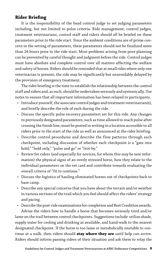### **Rider Briefing**

It is the responsibility of the head control judge to set judging parameters including, but not limited to pulse criteria. Ride management, control judges, treatment veterinarians, control staff and riders should all be briefed on these parameters prior to the ride start. Since the ambient conditions are of prime concern in the setting of parameters, these parameters should not be finalized more than 24 hours prior to the ride start. Most problems arising from poor planning can be prevented by careful thought and judgment before the ride. Control judges must have absolute and complete control over all matters affecting the welfare and safety of horses. Riders should be reminded that at small rides where only one veterinarian is present, the ride may be significantly but unavoidably delayed by the provision of emergency treatment.

The rider briefing is the time to establish the relationship between the control staff and riders and, as such, should be undertaken seriously and systemically. Use notes to ensure that all important information has been relayed to participants.

- Introduce yourself, the associate control judges and treatment veterinarian(s), and briefly describe the role of each during the ride.
- Discuss the specific pulse recovery parameters set for this ride. Any changes to previously designated parameters, such as time allowed to reach pulse after crossing the finish line, must be posted in writing in a location accessible to all riders prior to the start of the ride as well as announced at the rider briefing.
- Describe control procedures and describe the flow patterns through each checkpoint, including discussion of whether each checkpoint is a "gate into hold," "hold only," "pulse and go" or "trot-by."
- Review for riders (and especially for novices, for whom this may be new information) the physical signs of an overly stressed horse, how they relate to the individual parameters on the vet card and contribute towards evaluating the overall criteria of "fit to continue."
- Discuss the logistics of hauling eliminated horses out of checkpoints back to base camp.
- Describe any special concerns that you have about the terrain and/or weather in various sections of the trail which you feel should affect the riders' strategy and pacing.
- Describe the post-ride examinations for completion and Best Condition awards. Advise the riders how to handle a horse that becomes seriously tired and/or lame on the trail between control checkpoints. Suggestions include: utilize shade, supply water for cooling and drinking as available, and hand-walk to the nearest designated checkpoint. If the horse is too lame or metabolically unstable to continue at a walk, then riders should **stay where they are** until help can arrive. Riders should inform passing riders of their situation and ask them to relay the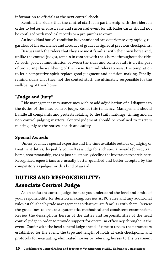information to officials at the next control check.

Remind the riders that the control staff is in partnership with the riders in order to better ensure a safe and successful event for all. Rider cards should not be confused with medical records or a pre-purchase exam.

An individual horse's condition is dynamic and can deteriorate very rapidly, regardless of the excellence and accuracy of grades assigned at previous checkpoints.

Discuss with the riders that they are most familiar with their own horse and, unlike the control judges, remain in contact with their horse throughout the ride. As such, good communication between the rider and control staff is a vital part of protecting the well-being of the horse. Remind riders to resist the temptation to let a competitive spirit replace good judgment and decision-making. Finally, remind riders that they, not the control staff, are ultimately responsible for the well-being of their horse.

#### **"Judge and Jury"**

Ride management may sometimes wish to add adjudication of all disputes to the duties of the head control judge. Resist this tendency. Management should handle all complaints and protests relating to the trail markings, timing and all non-control judging matters. Control judgment should be confined to matters relating only to the horses' health and safety.

#### **Special Awards**

Unless you have special expertise and the time available outside of judging or treatment duties, disqualify yourself as a judge for such special awards (breed, trail horse, sportsmanship, etc.) or just courteously decline the invitation to participate. Recognized equestrians are usually better qualified and better accepted by the competitors as judges for this kind of award.

# **DUTIES AND RESPONSIBILITY: Associate Control Judge**

As an assistant control judge, be sure you understand the level and limits of your responsibility for decision making. Review AERC rules and any additional rules established by ride management so that you are familiar with them. Review the guidelines to ensure a systematic, methodical and consistent examination. Review the descriptions herein of the duties and responsibilities of the head control judge in order to provide support for optimum efficiency throughout the event. Confer with the head control judge ahead of time to review the parameters established for the event, the type and length of holds at each checkpoint, and protocols for evacuating eliminated horses or referring horses to the treatment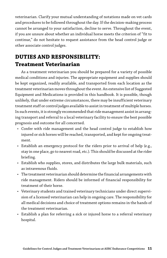veterinarian. Clarify your mutual understanding of notations made on vet cards and procedures to be followed throughout the day. If the decision-making process cannot be arranged to your satisfaction, decline to serve. Throughout the event, if you are unsure about whether an individual horse meets the criterion of "fit to continue," do not hesitate to request assistance from the head control judge or other associate control judges.

# **DUTIES AND RESPONSIBILITY: Treatment Veterinarian**

As a treatment veterinarian you should be prepared for a variety of possible medical conditions and injuries. The appropriate equipment and supplies should be kept organized, readily available, and transported from each location as the treatment veterinarian moves throughout the event. An extensive list of Suggested Equipment and Medications is provided in this handbook. It is possible, though unlikely, that under extreme circumstances, there may be insufficient veterinary treatment staff or control judges available to assist in treatment of multiple horses. In such events, it is strongly recommended that ride management assist in arranging transport and referral to a local veterinary facility to ensure the best possible prognosis and outcome for all concerned.

- Confer with ride management and the head control judge to establish how injured or sick horses will be reached, transported, and kept for ongoing treatment.
- Establish an emergency protocol for the riders prior to arrival of help (e.g., stay in one place, go to nearest road, etc.). This should be discussed at the rider briefing.
- Establish who supplies, stores, and distributes the large bulk materials, such as intravenous fluids.
- The treatment veterinarian should determine the financial arrangements with ride management. Riders should be informed of financial responsibility for treatment of their horse.
- Veterinary students and trained veterinary technicians under direct supervision of a licensed veterinarian can help in ongoing care. The responsibility for all medical decisions and choice of treatment options remains in the hands of the treatment veterinarian.
- Establish a plan for referring a sick or injured horse to a referral veterinary hospital.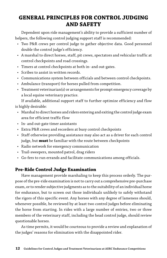# **GENERAL PRINCIPLES FOR CONTROL JUDGING AND SAFETY**

Dependent upon ride management's ability to provide a sufficient number of helpers, the following control judging support staff is recommended:

- Two P&R crews per control judge to gather objective data. Good personnel double the control judge's efficiency.
- A marshal to direct horses, staff, pit crews, spectators and vehicular traffic at control checkpoints and road crossings.
- Timers at control checkpoints at both in- and out-gates.
- Scribes to assist in written records.
- Communications system between officials and between control checkpoints.
- Ambulance (transport) for horses pulled from competition.
- Treatment veterinarian(s) or arrangements for prompt emergency coverage by a local equine veterinary practice.

If available, additional support staff to further optimize efficiency and flow is highly desirable:

- Marshal to direct horses and riders entering and exiting the control judge exam area for efficient traffic flow
- In- and out-gate timer assistants
- Extra P&R crews and recorders at busy control checkpoints
- Staff otherwise providing assistance may also act as a driver for each control judge, but **must** be familiar with the route between checkpoints
- Radio network for emergency communication
- Trail-sweepers, mounted patrol, drag riders
- Go-fers to run errands and facilitate communications among officials.

### **Pre-Ride Control Judge Examination**

Have management provide marshaling to keep this process orderly. The purpose of the pre-ride examination is not to carry out a comprehensive pre-purchase exam, or to render subjective judgments as to the suitability of an individual horse for endurance, but to screen out those individuals unlikely to safely withstand the rigors of this specific event. Any horses with any degree of lameness should, whenever possible, be reviewed by at least two control judges before eliminating the horse from starting. In rides with a large number of entries, two or three members of the veterinary staff, including the head control judge, should review questionable horses.

As time permits, it would be courteous to provide a review and explanation of the judges' reasons for elimination with the disappointed rider.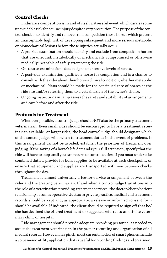### **Control Checks**

Endurance competition is in and of itself a stressful event which carries some unavoidable risk for equine injury despite every precaution. The purpose of the control check is to identify and remove from competition those horses which present an unacceptably high risk of developing subsequent and more serious metabolic or biomechanical lesions before those injuries actually occur.

- A pre-ride examination should identify and exclude from competition horses that are unsound, metabolically or mechanically compromised or otherwise medically incapable of safely attempting the ride.
- On-course examinations detect signs of excessive levels of stress.
- A post-ride examination qualifies a horse for completion and is a chance to consult with the rider about their horse's clinical condition, whether metabolic or mechanical. Plans should be made for the continued care of horses at the ride site and/or referring them to a veterinarian of the owner's choice.
- Ongoing inspections in camp assess the safety and suitability of arrangements and care before and after the ride.

#### **Protocols for Treatment**

Whenever possible, a control judge should NOT also be the primary treatment veterinarian. Even small rides should be encouraged to have a treatment veterinarian available. At larger rides, the head control judge should designate which of the control judges will switch to treatment duties in the event of problems. If this arrangement cannot be avoided, establish the priorities of treatment over judging. If the saving of a horse's life demands your full attention, specify that the ride will have to stop until you can return to control duties. If you must undertake combined duties, provide for bulk supplies to be available at each checkpoint, or ensure that equipment and supplies are transported with you between checks throughout the day.

Treatment is almost universally a fee-for-service arrangement between the rider and the treating veterinarian. If and when a control judge transitions into the role of a veterinarian providing treatment services, the doctor/client/patient relationship becomes operative. Just as in private practice, medical and treatment records should be kept and, as appropriate, a release or informed consent form should be available. If indicated, the client should be required to sign off that he/ she has declined the offered treatment or suggested referral to an off-site veterinary clinic or hospital.

Ride management should provide adequate recording personnel as needed to assist the treatment veterinarian in the proper recording and organization of all medical records. However, in a pinch, most current models of smart phones include a voice memo utility application that is useful for recording findings and treatment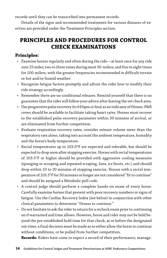records until they can be transcribed into permanent records.

Details of the signs and recommended treatments for various diseases of exertion are provided under the Treatment Principles section.

# **PRINCIPLES AND PROCEDURES FOR CONTROL CHECK EXAMINATIONS**

# **Principles:**

- Examine horses regularly and often during the ride—at least once for any ride over 25 miles; two to three times during most 50-milers; and five to eight times for 100-milers, with the greater frequencies recommended in difficult terrain or hot and/or humid weather.
- Recognize fatigue factors promptly and advise the rider how to modify their ride strategy accordingly.
- Remember there are no conditional releases. Remind yourself that there is no guarantee that the rider will follow your advice after leaving the vet check area.
- Use progressive pulse recovery (to 64 bpm or less) as an indicator of fitness. P&R crews should be available to facilitate taking heart rates. Horses must recover to the established pulse recovery parameter within 30 minutes of arrival, or are eliminated from further competition.
- Evaluate respiration recovery rates; consider minute volume more than the respiratory rate alone, taking into account the ambient temperature, humidity and the horse's body temperature.
- Rectal temperatures up to 103.0ºF are expected and tolerable, but should be expected to drop soon after stopping exercise. Horses with rectal temperatures of 103.5°F or higher should be provided with aggressive cooling measures (sponging or scooping and repeated scraping, fans, ice boots, etc.) and should drop within 10 to 20 minutes of stopping exercise. Horses with a rectal temperature of 103.5°F for 30 minutes or longer are not considered "fit to continue" and should be assigned a Metabolic pull code.
- A control judge should perform a complete hands-on exam of every horse. Carefully examine horses that present with poor recovery numbers or signs of fatigue. Use the Cardiac Recovery Index (see below) in conjunction with other clinical parameters to determine "fitness to continue."
- Do not hesitate to ask the rider to return for a recheck exam prior to continuing on if warranted and time allows. However, horse and rider may not be held beyond the pre-established hold time for that check; at or before the designated out-time, a final decision must be made as to either allow the horse to continue without conditions, or be pulled from further competition.

**Records:** Riders have come to expect a record of their performance; manage-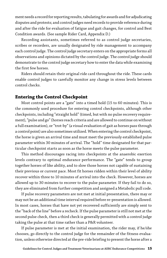ment needs a record for reporting results, tabulating for awards and for adjudicating disputes and protests; and control judges need records to provide reference during and after the ride for evaluation of fatigue and gait changes, for control and Best Condition awards. (See sample Rider Card, Appendix D.)

Recording assistants, sometimes referred to as control judge secretaries, scribes or recorders, are usually designated by ride management to accompany each control judge. The control judge secretary enters on the appropriate forms all observations and opinions dictated by the control judge. The control judge should demonstrate to the control judge secretary how to enter the data while examining the first few horses.

Riders should retain their original ride card throughout the ride. These cards enable control judges to carefully monitor any change in stress levels between control checks.

#### **Entering the Control Checkpoint**

Most control points are a "gate" into a timed hold (15 to 60 minutes). This is the commonly used procedure for entering control checkpoints, although other checkpoints, including "straight hold" (timed, but with no pulse recovery requirement), "pulse and go" (horses reach criteria and are allowed to continue on without a full examination), or "trot-by" (a visual evaluation of gait as horses pass through a control point) are also sometimes utilized. When entering the control checkpoint, the horse is given an arrival time and must meet the previously established pulse parameter within 30 minutes of arrival. The "hold" time designated for that particular checkpoint starts as soon as the horse meets the pulse parameter.

This method discourages racing into checkpoints at the anaerobic exertion levels contrary to optimal endurance performance. The "gate" tends to group together horses of like ability, and to slow those horses not capable of sustaining their previous or current pace. Most fit horses ridden within their level of ability recover within three to 10 minutes of arrival into the check. However, horses are allowed up to 30 minutes to recover to the pulse parameter. If they fail to do so, they are eliminated from further competition and assigned a Metabolic pull code.

If pulse recovery parameters are not met at initial presentation, there may or may not be an additional time interval required before re-presentation is allowed. In most cases, horses that have not yet recovered sufficiently are simply sent to the "back of the line" before a recheck. If the pulse parameter is still not met at the second pulse check, then a third check is generally permitted with a control judge taking the pulse at that time rather than a P&R volunteer.

If pulse parameter is met at the initial examination, the rider may, if he/she chooses, go directly to the control judge for the remainder of the fitness evaluation, unless otherwise directed at the pre-ride briefing to present the horse after a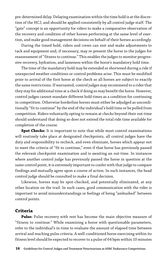pre-determined delay. Delaying examination within the time hold is at the discretion of the HCJ, and should be applied consistently by all control judge staff. The "gate" concept is an opportunity for riders to make a comparative observation of the recovery and condition of other horses performing at the same level of exertion, and make good management decisions on behalf of their horses accordingly.

During the timed hold, riders and crews can rest and make adjustments to tack and equipment and, if necessary, may re-present the horse to the judges for reassessment of "fitness to continue." This enables the judges to monitor progressive recovery, hydration, and lameness within the horse's mandatory hold time.

The time of the mandatory hold may be extended or shortened during a ride if unexpected weather conditions or control problems arise. This must be modified prior to arrival of the first horse at the check so all horses are subject to exactly the same restrictions. If warranted, control judges may recommend to a rider that they stay for additional time at a check if doing so may benefit the horse. However, control judges cannot mandate different hold times as a condition for continuing in competition. Otherwise borderline horses must either be adjudged as unconditionally "fit to continue" by the end of the individual's hold time or be pulled from competition. Riders voluntarily opting to remain at checks beyond their out-time should understand that doing so does not extend the total ride time available for completion of the course.

**Spot Checks:** It is important to note that while most control examinations will routinely take place at designated checkpoints, all control judges have the duty and responsibility to recheck, and even eliminate, horses which appear not to meet the criteria of "fit to continue," even if that horse has previously passed the relevant checkpoint examination and is awaiting an out-time. In instances where another control judge has previously passed the horse in question at the same control point, it is extremely important to confer with that judge to compare findings and mutually agree upon a course of action. In such instances, the head control judge should be consulted to make a final decision.

Likewise, horses may be spot-checked, and potentially eliminated, at any other location on the trail. In such cases, good communication with the rider is important to avoid misunderstandings or feelings of being "ambushed" between control points.

#### **Criteria**

**Pulse:** Pulse recovery with rest has become the main objective measure of "fitness to continue." While examining a horse with questionable parameters, refer to the individual's in-time to evaluate the amount of elapsed time between arrival and reaching pulse criteria. A well-conditioned horse exercising within its fitness level should be expected to recover to a pulse of 64 bpm within 10 minutes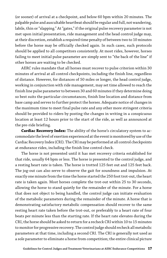(or sooner) of arrival at a checkpoint, and below 60 bpm within 20 minutes. The palpable pulse and auscultable heartbeat should be regular and full, not wandering, labile, thin or "slapping." At "gates," if the original pulse recovery parameter is not met upon initial presentation, ride management and the head control judge may, at their discretion, establish a required time penalty of between two to 10 minutes before the horse may be officially checked again. In such cases, such protocols should be applied to all competitors consistently. At most rides, however, horses failing to meet initial pulse parameter are simply sent to "the back of the line" if other horses are waiting to be checked.

AERC rules mandate that all horses must recover to pulse criterion within 30 minutes of arrival at all control checkpoints, including the finish line, regardless of distance. However, for distances of 50 miles or longer, the head control judge, working in conjunction with ride management, may set time allowed to reach the finish line pulse parameter to between 30 and 60 minutes if they determine doing so best suits the particular circumstances, finish line location and distance from base camp and serves to further protect the horses. Adequate notice of changes in the maximum time to meet final pulse rate and any other more stringent criteria should be provided to riders by posting the changes in writing in a conspicuous location at least 12 hours prior to the start of the ride, as well as announced at the pre-ride briefing.

**Cardiac Recovery Index:** The ability of the horse's circulatory system to accommodate the level of exertion experienced at the event is monitored by use of the Cardiac Recovery Index (CRI). The CRI may be performed at all control checkpoints at endurance rides, including the finish line control check.

The horse is not presented until it has met recovery criteria established for that ride, usually 64 bpm or less. The horse is presented to the control judge, and a resting heart rate is taken. The horse is trotted 125 feet out and 125 feet back. The jog-out can also serve to observe the gait for soundness and impulsion. At exactly one minute from the time the horse started the 250 foot trot-out, the heart rate is taken again. Most horses complete the trot-out within 25 to 30 seconds, allowing the horse to stand quietly for the remainder of the minute. For a horse that does not object to being handled, the control judge can initiate evaluation of the metabolic parameters during the remainder of the minute. A horse that is demonstrating satisfactory metabolic compensation should recover to the same resting heart rate taken before the trot-out, or preferably to a heart rate of four beats per minute less than the starting rate. If the heart rate elevates during the CRI, the horse should be asked to return for a recheck CRI within 10 to 15 minutes to monitor for progressive recovery. The control judge should recheck all metabolic parameters at that time, including a second CRI. The CRI is generally not used as a sole parameter to eliminate a horse from competition; the entire clinical picture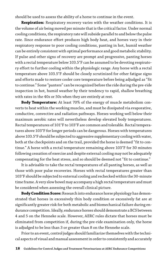should be used to assess the ability of a horse to continue in the event.

**Respiration:** Respiratory recovery varies with the weather conditions. It is the volume of air being moved per minute that is the critical factor. Under normal cooling conditions, the respiratory rate will subside parallel to and below the pulse rate. Since endurance effort produces high body heat, and horses vary in their respiratory response to poor cooling conditions, panting in hot, humid weather can be entirely consistent with optimal performance and good metabolic stability. If pulse and other signs of recovery are prompt and progressive, panting horses with a rectal temperature below 103.5°F can be assumed to be devoting respiratory effort to further cooling within the physiologic range. Any horse with a rectal temperature above 103.5°F should be closely scrutinized for other fatigue signs and efforts made to restore cooler core temperature before being adjudged as "fit to continue." Some "panters" can be recognized before the ride during the pre-ride inspection in hot, humid weather by their tendency to rapid, shallow breathing with rates in the 40s or 50s when they are entirely at rest.

**Body Temperature:** At least 70% of the energy of muscle metabolism converts to heat within the working muscles, and must be dissipated via evaporative, conductive, convective and radiation pathways. Horses working well below their maximum aerobic rates will nevertheless develop elevated body temperatures. Rectal temperatures of 101°F to 103°F are common and tolerable. Rectal temperatures above 103°F for longer periods can be dangerous. Horses with temperatures above 103.5°F should be subjected to aggressive supplementary cooling with water, both at the checkpoints and on the trail, provided the horse is deemed "fit to continue." A horse with a rectal temperature remaining above 103°F for 30 minutes following cessation of exercise and despite external cooling may not be adequately compensating for the heat stress, and so should be deemed not "fit to continue."

It is advisable to take the rectal temperatures of all panting horses, as well as those with poor pulse recoveries. Horses with rectal temperatures greater than 103°F should be subjected to external cooling and rechecked within the 30-minute time frame. A very slow bowel may accompany a high rectal temperature and must be considered when assessing the overall clinical picture.

**Body Condition Score:** Research into endurance horse physiology has demonstrated that horses in excessively thin body condition or excessively fat are at significantly greater risk for both metabolic and biomechanical failure during endurance competition. Ideally, endurance horses should demonstrate a BCS between 4 and 5 on the Henneke scale. However, AERC rules dictate that horses must be eliminated from competition if, during the pre-ride examination only, the horse is adjudged to be less than 3 or greater than 8 on the Henneke scale.

Prior to an event, control judges should familiarize themselves with the technical aspects of visual and manual assessment in order to consistently and accurately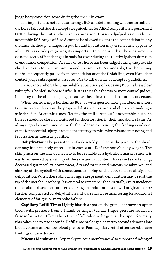judge body condition score during the check-in exam.

It is important to note that assessing a BCS and determining whether an individual horse falls outside the acceptable guidelines for AERC competition is performed ONLY during the initial check-in examination. Horses adjudged as outside the acceptable BCS range of 3 to 8 cannot be allowed to start the competition in any distance. Although changes in gut fill and hydration may erroneously appear to affect BCS as a ride progresses, it is important to recognize that these parameters do not directly affect changes in body fat cover during the relatively short duration of endurance competition. As such, once a horse has been judged during the pre-ride check-in exam to meet minimum and maximum BCS standards, that horse may not be subsequently pulled from competition or at the finish line, even if another control judge subsequently assesses BCS to fall outside of accepted guidelines.

In instances where the unavoidable subjectivity of assessing BCS makes a clear ruling for a borderline horse difficult, it is advisable for two or more control judges, including the head control judge, to assess the animal to reach a mutual consensus.

When considering a borderline BCS, as with questionable gait abnormalities, take into consideration the proposed distance, terrain and climate in making a safe decision. At certain times, "letting the trail sort it out" is acceptable, but such horses should be closely monitored for deterioration in their metabolic status. As always, good communication with the rider in explaining the findings and concerns for potential injury is a prudent strategy to minimize misunderstanding and frustration as much as possible.

**Dehydration:** The persistency of a skin fold pinched at the point of the shoulder may indicate body water lost in excess of 4% of the horse's body weight. The skin pinch on the side of the neck is less reliable as a hydration marker since it is easily influenced by elasticity of the skin and fat content. Increased skin tenting, decreased gut motility, scant sweat, dry and/or injected mucous membranes, and sinking of the eyeball with consequent drooping of the upper lid are all signs of dehydration. When these abnormal signs are present, dehydration may be just the tip of the metabolic iceberg. It is critical to remember that virtually every incidence of metabolic disease encountered during an endurance event will originate, or be further complicated by, dehydration and warrants close monitoring for additional elements of fatigue or metabolic failure.

**Capillary Refill Time:** Lightly blanch a spot on the gum just above an upper tooth with pressure from a thumb or finger. (Undue finger pressure results in false information.) Time the return of full color to the gum at that spot. Normally this takes one to two seconds. Refill time prolonged past two seconds denotes low blood volume and/or low blood pressure. Poor capillary refill often corroborates findings of dehydration.

**Mucous Membranes:** Dry, tacky mucous membranes also support a finding of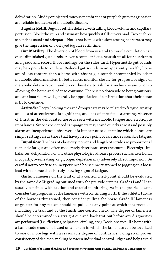dehydration. Muddy or injected mucous membranes or purplish gum margination are reliable indicators of metabolic disease.

**Jugular Refill:** Jugular refill is delayed with falling blood volume and capillary perfusion. Block the vein and estimate how quickly it fills up craniad. Two or three seconds is usual and adequate. Note that horses with slow resting heart rates may give the impression of a delayed jugular refill time.

**Gut Motility:** The diversion of blood from visceral to muscle circulation can cause diminished gut sounds or even a complete ileus. Auscultate all four quadrants and grade and record those findings on the rider card. Hypermotile gut sounds may be a prelude to an ileus. Reduced gut sounds in an apparently healthy horse are of less concern than a horse with absent gut sounds accompanied by other metabolic abnormalities. In both cases, monitor closely for progressive signs of metabolic deterioration, and do not hesitate to ask for a recheck exam prior to allowing the horse and rider to continue. There is no downside to being cautious, and anxious riders will generally be appreciative of confirmation that their horse is fit to continue.

**Attitude:** Sleepy-looking eyes and droopy ears may be related to fatigue. Apathy and loss of attentiveness is significant, and lack of appetite is alarming. Absence of thirst in the dehydrated horse is seen with metabolic fatigue and electrolyte imbalances. Since experienced campaigners may stand quietly at rest and possibly alarm an inexperienced observer, it is important to determine which horses are simply resting versus those that have passed a point of safe and reasonable fatigue.

**Impulsion:** The loss of elasticity, power and length of stride are proportional to muscle fatigue and often moderately deteriorate over the course. Electrolyte imbalances, dehydration, or any other physiological disease process such as exertional myopathy, overheating, or glycogen depletion may adversely affect impulsion. Be careful not to confuse an inexperienced horse unaccustomed to jogging on a loose lead with a horse that is truly showing signs of fatigue.

**Gaits:** Lameness on the trail or at a control checkpoint should be evaluated by the same AAEP grading outlined with the pre-ride criteria. Grades I and II can usually continue with caution and careful monitoring. As in the pre-ride exam, consider the prognosis of the lameness with continuing work. If the athletic future of the horse is threatened, then consider pulling the horse. Grade III lameness or greater for any reason should be pulled at any point at which it is revealed, including on trail and at the finish line control check. The degree of lameness should be determined in a straight out-and-back trot-out before any diagnostics are performed (i.e., flexions, palpation, circling, etc.). Decisions to pull a horse with a Lame code should be based on an exam in which the lameness can be localized to one or more legs with a reasonable degree of confidence. Doing so improves consistency of decision-making between individual control judges and helps avoid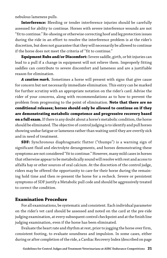nebulous lameness pulls.

**Interference:** Bleeding or tender interference injuries should be carefully assessed for ability to continue. Horses with severe interference wounds are not "fit to continue." Re-shoeing or otherwise correcting hoof and leg protection issues during the ride in an effort to resolve the interference problem is at the rider's discretion, but does not guarantee that they will necessarily be allowed to continue if the horse does not meet the criteria of "fit to continue."

**Equipment Rubs and/or Discomfort:** Severe saddle, girth, or bit injuries can lead to a pull if a change in equipment will not relieve them. Improperly fitting saddles can contribute to severe discomfort and lameness and are a justifiable reason for elimination.

*A caution mark.* Sometimes a horse will present with signs that give cause for concern but not necessarily immediate elimination. This entry can be marked for further scrutiny with an appropriate notation on the rider's card. Advise the rider of your concerns, along with recommendations as to how to prevent the problem from progressing to the point of elimination. **Note that there are no conditional releases; horses should only be allowed to continue on if they are demonstrating metabolic competence and progressive recovery based on a full exam.** If there is any doubt about a horse's metabolic condition, the horse should be eliminated. The objective of control judging is to identify and pull horses showing undue fatigue or lameness rather than waiting until they are overtly sick and in need of treatment.

**SDF:** Synchronous diaphragmatic flutter ("thumps") is a warning sign of significant fluid and electrolyte derangements, and horses demonstrating these symptoms are not considered "fit to continue." However, many mild cases in horses that otherwise appear to be metabolically sound will resolve with rest and access to alfalfa hay or other sources of oral calcium. At the discretion of the control judge, riders may be offered the opportunity to care for their horse during the remaining hold time and then re-present the horse for a recheck. Severe or persistent symptoms of SDF justify a Metabolic pull code and should be aggressively treated to correct the condition.

#### **Examination Procedure**

For all examinations, be systematic and consistent. Each individual parameter on the rider's vet card should be assessed and noted on the card at the pre-ride judging examination, at every subsequent control checkpoint and at the finish line judging examination, even if the horse has been eliminated.

Evaluate the heart rate and rhythm at rest, prior to jogging the horse over firm, consistent footing, to evaluate soundness and impulsion. In some cases, either during or after completion of the ride, a Cardiac Recovery Index (described on page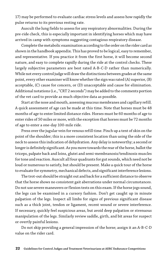17) may be performed to evaluate cardiac stress levels and assess how rapidly the pulse returns to its previous resting rate.

Auscult the lung fields to assess for any respiratory abnormalities. During the pre-ride check, this is especially important in identifying horses which may have arrived in camp with symptoms suggesting contagious respiratory disease.

Complete the metabolic examination according to the order on the rider card as shown in the handbook appendix. This has proved to be logical, easy to remember, and representative. If you practice it from the first horse, it will become second nature, and easy to complete rapidly during the ride at the control checks. These largely subjective parameters are best rated A-B-C-D rather than numerically. While not every control judge will draw the distinctions between grades at the same point, every other examiner will know whether the sign was rated (A) superior, (B) acceptable, (C) cause for concern, or (D) unacceptable and cause for elimination. Additional notations (i.e., "CRT 2 seconds") may be added to the comments portion of the vet card to provide as much objective data as possible.

Start at the nose and mouth, assessing mucous membranes and capillary refill. A quick assessment of age can be made at this time. Note that horses must be 48 months of age to enter limited distance rides. Horses must be 60 months of age to enter rides of 50 miles or more, with the exception that horses must be 72 months of age to enter a one-day 100-mile ride.

Press over the jugular vein for venous refill time. Pinch up a tent of skin on the point of the shoulder; this is a more consistent location than using the side of the neck to assess this indication of dehydration. Any delay is noteworthy; a second or longer is definitely significant. As you move towards the rear of the horse, ballot the triceps, palpate back and loins, glutei and semi-membranosis/tendinosis muscles for tone and reaction. Auscult all four quadrants for gut sounds, which need not be loud or numerous to satisfy, but should be present. Make a quick tour of the horse to evaluate for symmetry, mechanical defects, and significant interference lesions.

The trot-out should be straight out and back for a sufficient distance to observe that the horse shows no consistent gait aberrations under normal circumstances. Do not use severe maneuvers or flexion tests on this exam. If the horse jogs sound, the legs can be examined in a cursory fashion. Don't get caught up in minute palpation of the legs. Inspect all limbs for signs of previous significant disease such as a thick joint, tendon or ligament, recent wound or severe interference. If necessary, quickly feel suspicious areas, but avoid deep palpation or strenuous manipulation of the legs. Similarly review saddle, girth, and bit areas for suspect or overtly painful lesions.

Do not skip providing a general impression of the horse; assign it an A-B-C-D value on the rider card.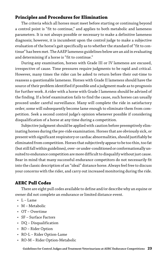### **Principles and Procedures for Elimination**

The criteria which all horses must meet before starting or continuing beyond a control point is "fit to continue," and applies to both metabolic and lameness parameters. It is not always possible or necessary to make a definitive lameness diagnosis; however, it is incumbent upon the control judge to make a subjective evaluation of the horse's gait specifically as to whether the standard of "fit to continue" has been met. The AAEP lameness guidelines below are an aid in evaluating and determining if a horse is "fit to continue."

During any examination, horses with Grade III or IV lameness are excused, irrespective of cause. Time pressures require judgments to be rapid and critical. However, many times the rider can be asked to return before their out-time to reassess a questionable lameness. Horses with Grade II lameness should have the source of their problem identified if possible and a judgment made as to prognosis for further work. A rider with a horse with Grade I lameness should be advised of the finding. If a brief examination fails to find the cause, such horses can usually proceed under careful surveillance. Many will complete the ride in satisfactory order; some will subsequently become lame enough to eliminate them from competition. Seek a second control judge's opinion whenever possible if considering disqualification of a horse at any time during a competition.

Subjective judgment should be applied with caution before preemptively eliminating horses during the pre-ride examination. Horses that are obviously sick, or present with significant respiratory or cardiac abnormalities, should justifiably be eliminated from competition. Horses that subjectively appear to be too thin, too fat (but still fall within guidelines), over- or under-conditioned or conformationally unsuited to endurance competition are more difficult to disqualify without just cause. Bear in mind that many successful endurance competitors do not necessarily fit into the classic description of an "ideal" distance horse. Always feel free to discuss your concerns with the rider, and carry out increased monitoring during the ride.

#### **AERC Pull Codes**

There are eight pull codes available to define and/or describe why an equine or owner did not complete an endurance or limited distance event.

- $\cdot$  L Lame
- M Metabolic
- OT Overtime
- SF Surface Factors
- DQ Disqualification
- RO Rider Option
- RO-L Rider Option-Lame
- RO-M Rider Option-Metabolic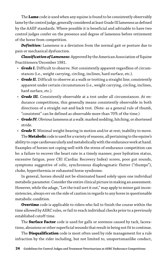The **Lame** code is used when any equine is found to be consistently observably lame by the control judge, generally considered at least Grade III lameness as defined by the AAEP standards. Where possible it is beneficial and advisable to have two control judges confer on the presence and degree of lameness before retirement of the horse from competition.

*Definition:* Lameness is a deviation from the normal gait or posture due to pain or mechanical dysfunction.

*Classification of Lameness:* Approved by the American Association of Equine Practitioners/December 1981.

- *Grade I.* Difficult to observe. Not consistently apparent regardless of circumstances (i.e., weight carrying, circling, inclines, hard surface, etc.).
- *Grade II.* Difficult to observe at a walk or trotting a straight line; consistently apparent under certain circumstances (i.e., weight carrying, circling, inclines, hard surface, etc.).
- *Grade III.* Consistently observable at a trot under all circumstances. At endurance competitions, this generally means consistently observable in both directions of a straight out-and-back trot. (Note: as a general rule of thumb, "consistent" can be defined as observable more than 70% of the time.)
- *Grade IV.* Obvious lameness at a walk: marked nodding, hitching, or shortened stride.
- *Grade V.* Minimal weight-bearing in motion and/or at rest; inability to move.

The **Metabolic** code is used for a variety of reasons, all pertaining to the equine's ability to cope cardiovascularly and metabolically with the endurance work at hand. Examples of horses not coping well with the stress of endurance competition can be: a failure to recover the heart rate in a timely manner, poor hydration status, excessive fatigue, poor CRI (Cardiac Recovery Index) scores, poor gut sounds, symptoms suggestive of colic, synchronous diaphragmatic flutter ("thumps"), choke, hyperthermia or exhausted horse syndrome.

In general, horses should not be eliminated based solely upon one individual metabolic parameter. Consider the entire clinical picture in making an assessment. However, while the adage, "Let the trail sort it out," may apply to minor gait inconsistencies, always err on the side of caution in regards to any horse in questionable metabolic condition.

**Overtime** code is applicable to riders who fail to finish the course within the time allowed by AERC rules, or fail to reach individual checks prior to a previously established cutoff time.

The **Surface Factor** code is used for galls or soreness caused by tack, lacerations, abrasions or other superficial wounds that result in being not fit to continue.

The **Disqualification** code is most often used by ride management for a rule infraction by the rider including, but not limited to, unsportsmanlike conduct,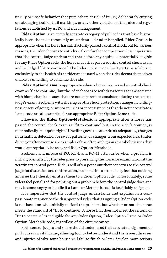unruly or unsafe behavior that puts others at risk of injury, deliberately cutting or sabotaging trail or trail markings, or any other violation of the rules and regulations established by AERC and ride management.

**Rider Option** is an entirely separate category of pull codes that have historically been the most commonly misunderstood and misapplied. Rider Option is appropriate when the horse has satisfactorily passed a control check, but for various reasons, the rider chooses to withdraw from further competition. It is imperative that the control judge understand that before any equine is potentially eligible for any Rider Option code, the horse must first pass a routine control check exam and be judged "fit to continue." The Rider Option code itself pertains solely and exclusively to the health of the rider and is used when the rider deems themselves unable or unwilling to continue the ride.

**Rider Option-Lame** is appropriate when a horse has passed a control check exam as "fit to continue," but the rider chooses to withdraw for reasons associated with biomechanical issues that are not apparent or consistent during the control judge's exam. Problems with shoeing or other hoof protection, changes in willingness or way of going, or minor injuries or inconsistencies that do not necessitate a Lame code are all examples for an appropriate Rider Option-Lame code.

Likewise, the **Rider Option-Metabolic** is appropriate after a horse has passed the control check exam as "fit to continue" but, in the rider's opinion, is metabolically "not quite right." Unwillingness to eat or drink adequately, changes in urination, defecation or sweat patterns, or changes from expected heart rates during or after exercise are examples of the often ambiguous metabolic issues that would appropriately be assigned Rider Option-Metabolic.

Problems and misuse of RO, RO-L and RO-M often arise when a problem is initially identified by the rider prior to presenting the horse for examination at the veterinary control point. Riders will often point out their concerns to the control judge for discussion and confirmation, but sometimes erroneously feel that noticing an issue first thereby entitles them to a Rider Option code. Unfortunately, some riders feel penalized for pointing out a problem before the control judge does and may become angry or hostile if a Lame or Metabolic code is justifiably assigned.

It is imperative that the control judge understands and explains in a compassionate manner to the disappointed rider that assigning a Rider Option code is not based on who initially noticed the problem, but whether or not the horse meets the standard of "fit to continue." A horse that does not meet the criteria of "fit to continue" is ineligible for any Rider Option, Rider Option-Lame or Rider Option-Metabolic code, regardless of the circumstances.

Both control judges and riders should understand that accurate assignment of pull codes is a vital data-gathering tool to better understand the issues, diseases and injuries of why some horses will fail to finish or later develop more serious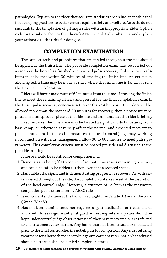pathologies. Explain to the rider that accurate statistics are an indispensable tool in developing practices to better ensure equine safety and welfare. As such, do not succumb to the temptation of gifting a rider with an inappropriate Rider Option code for the sake of their or their horse's AERC record. Call it what it is, and explain your rationale to the rider for doing so.

# **COMPLETION EXAMINATION**

The same criteria and procedures that are applied throughout the ride should be applied at the finish line. The post-ride completion exam may be carried out as soon as the horse has finished and reached pulse recovery. Pulse recovery (64 bpm) must be met within 30 minutes of crossing the finish line. An extension allowing extra time may be made at rides where the finish line is far away from the final vet check location.

Riders will have a maximum of 60 minutes from the time of crossing the finish line to meet the remaining criteria and present for the final completion exam. If the finish pulse recovery criteria is set lower than 64 bpm or if the riders will be allowed more than the standard 30 minutes for recovery, then a notice must be posted in a conspicuous place at the ride site and announced at the rider briefing.

In some cases, the finish line may be located a significant distance away from base camp, or otherwise adversely affect the normal and expected recovery to pulse parameters. In these circumstances, the head control judge may, working in conjunction with ride management, allow 30 to 60 minutes to meet pulse parameters. This completion criteria must be posted pre-ride and discussed at the pre-ride briefing.

A horse should be certified for completion if it:

- 1. Demonstrates being "fit to continue" in that it possesses remaining reserves, and could be safely be ridden further, even if at a reduced speed.
- 2. Has stable vital signs, and is demonstrating progressive recovery. As with criteria used throughout the ride, the completion criteria are set at the discretion of the head control judge. However, a criterion of 64 bpm is the maximum completion pulse criteria set by AERC rules.
- 3. Is not consistently lame at the trot on a straight line (Grade III) nor at the walk (Grade IV or V).
- 4. Has not been administered nor requires urgent medication or treatment of any kind. Horses significantly fatigued or needing veterinary care should be kept under control judge observation until they have recovered or are referred to the treatment veterinarian. Any horse that has been treated or medicated prior to the final control check is not eligible for completion. Any rider refusing treatment for a horse that a control judge or treatment veterinarian has advised should be treated shall be denied completion status.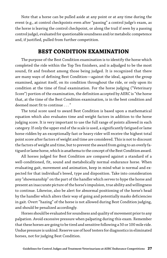Note that a horse can be pulled aside at any point or at any time during the event (e.g., at control checkpoints even after "passing" a control judge's exam, as the horse is leaving the control checkpoint, or along the trail if seen by a passing control judge), evaluated for questionable soundness and/or metabolic competence and, if justified, pulled from further competition.

### **BEST CONDITION EXAMINATION**

The purpose of the Best Condition examination is to identify the horse which completed the ride within the Top Ten finishers, and is adjudged to be the most sound, fit and freshest among those being judged. It is recognized that there are many ways of defining Best Condition—against the ideal, against the group examined, against itself, on its condition throughout the ride, or only upon its condition at the time of final examination. For the horse judging ("Veterinary Score") portion of the examination, the definition accepted by AERC is "the horse that, at the time of the Best Condition examination, is in the best condition and deemed most fit to continue . . . "

The total score used to award Best Condition is based upon a mathematical equation which also evaluates time and weight factors in addition to the horse judging score. It is very important to use the full range of points allowed in each category. If only the upper end of the scale is used, a significantly fatigued or lame horse ridden by an exceptionally fast or heavy rider will receive the highest total point score after factors of weight and time are considered. This is not to discount the factors of weight and time, but to prevent the award from going to an overly fatigued or lame horse, which is anathema to the concept of the Best Condition award.

All horses judged for Best Condition are compared against a standard of a well-conditioned, fit, sound and metabolically normal endurance horse. When evaluating gait, movement and animation, keep in mind what is normal and expected for that individual's breed, type and disposition. Take into consideration any "showmanship" on the part of the handler which serves to hype the horse and present an inaccurate picture of the horse's impulsion, true ability and willingness to continue. Likewise, also be alert for abnormal positioning of the horse's head by the handler which alters their way of going and potentially masks deficiencies in gait. Overt "hazing" of the horse is not allowed during Best Condition judging, and should be penalized accordingly.

Horses should be evaluated for soundness and quality of movement prior to any palpation. Avoid excessive pressure when palpating during this exam. Remember that these horses are going to be tired and sensitive following a 50 or 100 mile ride. Undue pressure is unkind. Reserve use of hoof testers for diagnostics in eliminated horses, not for judging Best Condition.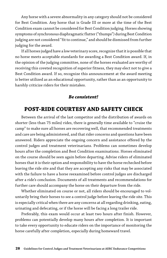Any horse with a severe abnormality in any category should not be considered for Best Condition. Any horse that is Grade III or more at the time of the Best Condition exam cannot be considered for Best Condition judging. Horses showing symptoms of synchronous diaphragmatic flutter ("thumps") during Best Condition judging are not considered "fit to continue," and should be dismissed from further judging for the award.

If all horses judged have a low veterinary score, recognize that it is possible that no horse meets acceptable standards for awarding a Best Condition award. If, in the opinion of the judging committee, none of the horses evaluated are worthy of receiving this coveted recognition of superior fitness, they may elect not to give a Best Condition award. If so, recognize this announcement at the award meeting is better utilized as an educational opportunity, rather than as an opportunity to harshly criticize riders for their mistakes.

#### *Be consistent!*

# **POST-RIDE COURTESY AND SAFETY CHECK**

Between the arrival of the last competitor and the distribution of awards on shorter (less than 75 miles) rides, there is generally time available to "cruise the camp" to make sure all horses are recovering well, that recommended treatments and care are being administered, and that rider concerns and questions have been answered. Riders appreciate the ongoing concern and assistance offered by the control judges and treatment veterinarians. Problems can sometimes develop hours after the completion and Best Condition examinations. Horses eliminated on the course should be seen again before departing. Advise riders of eliminated horses that it is their option and responsibility to have the horse rechecked before leaving the ride site and that they are accepting any risks that may be associated with the failure to have a horse reexamined before control judges are discharged after a ride's conclusion. Documents of all treatments and recommendations for further care should accompany the horse on their departure from the ride.

Whether eliminated on course or not, all riders should be encouraged to voluntarily bring their horses to see a control judge before leaving the ride site. This is especially critical when there are any concerns at all regarding drinking, eating, urinating and defecating, or if the horse will be facing a long trailer ride.

Preferably, this exam would occur at least two hours after finish. However, problems can potentially develop many hours after completion. It is important to take every opportunity to educate riders on the importance of monitoring the horse carefully after completion, especially during homeward travel.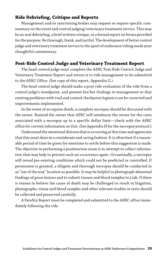### **Ride Debriefing, Critique and Reports**

Management and/or sanctioning bodies may request or require specific commentary on the event and control judging/veterinary treatment service. This may be an oral debriefing, a brief written critique, or a formal report on forms provided for the purpose. Be thorough, frank, and tactful. The development of better control judge and veterinary treatment service to the sport of endurance riding needs your thoughtful commentary.

### **Post-Ride Control Judge and Veterinary Treatment Report**

The head control judge must complete the AERC Post-Ride Control Judge and Veterinary Treatment Report and return it to ride management to be submitted to the AERC Office. (See copy of this report, Appendix G.)

The head control judge should make a post-ride evaluation of the ride from a control judge's standpoint, and present his/her findings to management so that existing problems with trail and control checkpoint logistics can be corrected and improvements implemented.

In the event of an equine death, a complete necropsy should be discussed with the owner. Remind the owner that AERC will reimburse the owner for the costs associated with a necropsy up to a specific dollar limit—check with the AERC office for current information on this. (See Appendix H for the necropsy protocol.)

Understand the emotional distress that is occurring at this time and appreciate that this must done in a considerate and caring fashion. It is often best if a reasonable period of time be given for emotions to settle before this suggestion is made. The objective in performing a postmortem exam is to attempt to collect information that may help to prevent such an occurrence again. Occasionally, a necropsy will reveal pre-existing conditions which could not be predicted or controlled. If permission is granted, a diligent and thorough necropsy should be conducted in as "out of the way" location as possible. It may be helpful to photograph abnormal findings of gross lesions and to submit tissues and blood samples to a lab. If there is reason to believe the cause of death may be challenged or result in litigation, photographs, tissue and blood samples and other relevant studies or tests should be collected and preserved carefully.

A Fatality Report must be completed and submitted to the AERC office immediately following the ride.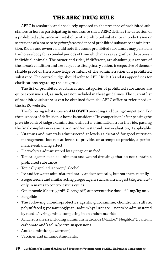# **THE AERC DRUG RULE**

AERC is resolutely and absolutely opposed to the presence of prohibited substances in horses participating in endurance rides. AERC defines the detection of a prohibited substance or metabolite of a prohibited substance in body tissue or secretions of a horse to be *prima facie* evidence of prohibited substance administration. Riders and owners should note that some prohibited substances may persist in the horse's body for extended periods of time which may vary significantly between individual animals. The owner and rider, if different, are absolute guarantors of the horse's condition and are subject to disciplinary action, irrespective of demonstrable proof of their knowledge or intent of the administration of a prohibited substance. The control judge should refer to AERC Rule 13 and its appendices for clarifications regarding the drug rule.

The list of prohibited substances and categories of prohibited substances are quite extensive and, as such, are not included in these guidelines. The current list of prohibited substances can be obtained from the AERC office or referenced on the AERC website.

The following substances are **ALLOWED** preceding and during competition. For the purposes of definition, a horse is considered "in competition" after passing the pre-ride control judge examination until after elimination from the ride, passing the final completion examination, and/or Best Condition evaluation, if applicable.

- Vitamins and minerals administered at levels as dictated for good nutrition management, but not at levels to provide, or attempt to provide, a performance-enhancing effect
- Electrolytes administered by syringe or in feed
- Topical agents such as liniments and wound dressings that do not contain a prohibited substance
- Topically applied isopropyl alcohol
- Ice and ice water administered orally and/or topically, but not intra-rectally
- Progesterone and similar acting progestagens such as altrenogest (Regu-mate®) only in mares to control estrus cycles
- Omeprazole (Gastrogard®, Ulcergard®) at preventative dose of 1 mg/kg only
- Pergolide
- The following chondroprotective agents: glucosamine, chondroitin sulfate, polysulfated glycosaminoglycan, sodium hyaluronate—not to be administered by needle/syringe while competing in an endurance ride
- Acid neutralizers including aluminum hydroxide (Maalox®, Neighlox®), calcium carbonate and kaolin/pectin suspensions
- Antithelmintics (dewormers)
- Vaccines and immunostimulants.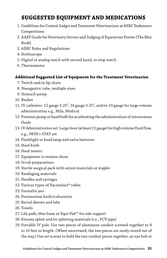# **SUGGESTED EQUIPMENT AND MEDICATIONS**

- 1. Guidelines for Control Judges and Treatment Veterinarians at AERC Endurance Competitions
- 2. AAEP Guide for Veterinary Service and Judging of Equestrian Events (The Blue Book)
- 3. AERC Rules and Regulations
- 4. Stethoscope
- 5. Digital or analog watch with second hand, or stop watch
- 6. Thermometer

#### **Additional Suggested List of Equipment for the Treatment Veterinarian**

- 7. Twitch and/or lip chain
- 8. Nasogastric tube, multiple sizes
- 9. Stomach pump
- 10. Bucket
- 11. IV catheters: 12 gauge 5.25", 14 gauge 5.25", and/or 10 gauge for large volume administration e.g., Mila, Medicut
- 12. Pressure pump or hand bulb for accelerating the administration of intravenous fluids
- 13. IV Administration set: Large-bore (at least 12 gauge) for high volume fluid flow, e.g., IWIN i-STAT set
- 14. Flashlight or head lamp and extra batteries
- 15. Hoof knife
- 16. Hoof testers
- 17. Equipment to remove shoes
- 18. Scrub preparations
- 19. Sterile surgical pack with suture materials or stapler
- 20. Bandaging materials
- 21. Needles and syringes
- 22. Various types of Vacutainer® tubes
- 23. Formalin jars
- 24. Postmortem knife/culturettes
- 25. Rectal sleeves and lube
- 26. Towels
- 27. Lily pads, blue foam or Equi-Pak™ for sole support
- 28. Kimzey splint and/or splinting materials (i.e., PCV pipe)
- 29. Portable IV pole: Use two pieces of aluminum conduit screwed together to 8 to 10 feet in length. (When unscrewed, the two pieces are easily stored out of the way.) Use set screws to hold the two conduit pieces together, an eye bolt at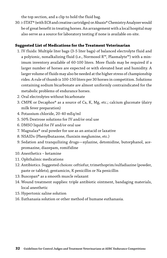the top section, and a clip to hold the fluid bag.

30. i-STAT® (with EC8 and creatine cartridges) or Abaxis® Chemistry Analyzer would be of great benefit in treating horses. An arrangement with a local hospital may also serve as a source for laboratory testing if none is available on-site.

#### **Suggested List of Medications for the Treatment Veterinarian**

- 1. IV fluids: Multiple liter bags (3-5 liter bags) of balanced electrolyte fluid and a polyionic, nonalkalizing fluid (i.e., Normosol R™, Plasmalyte™) with a minimum inventory available of 60-100 liters. More fluids may be required if a larger number of horses are expected or with elevated heat and humidity. A larger volume of fluids may also be needed at the higher stress of championship rides. A rule of thumb is 100-150 liters per 30 horses in competition. Solutions containing sodium bicarbonate are almost uniformly contraindicated for the metabolic problems of endurance horses.
- 2. Oral electrolytes without bicarbonate
- 3. CMPK or Decaphos® as a source of Ca, K, Mg, etc.; calcium gluconate (dairy milk fever preparation)
- 4. Potassium chloride, 20-40 mEq/ml
- 5. 50% Dextrose solutions for IV and/or oral use
- 6. DMSO liquid for IV and/or oral use
- 7. Magnalax® oral powder for use as an antacid or laxative
- 8. NSAIDs (Phenylbutazone, flunixin meglumine, etc.)
- 9. Sedation and tranquilizing drugs—xylazine, detomidine, butorphanol, acepromazine, diazepam, romifidine
- 10. Anesthetics ketamine
- 11. Ophthalmic medications
- 12. Antibiotics. Suggested choices: ceftiofur, trimethoprim/sulfadiazine (powder, paste or tablets), gentamicin, K penicillin or Na penicillin
- 13. Buscopan® as a smooth muscle relaxant
- 14. Wound treatment supplies: triple antibiotic ointment, bandaging materials, local anesthetic
- 15. Hypertonic saline solution
- 16. Euthanasia solution or other method of humane euthanasia.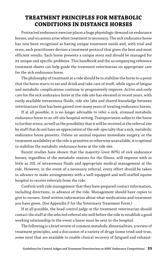# **TREATMENT PRINCIPLES FOR METABOLIC CONDITIONS IN DISTANCE HORSES**

Protracted endurance exercise places a huge physiologic demand on endurance horses, and occasions arise when treatment is necessary. The sick endurance horse has now been recognized as having unique treatment needs and, with trial and error, each practitioner devises a treatment protocol that gives the best and most efficient results. Each horse presents a unique story and should be managed for its unique and specific problems. This handbook and the accompanying reference treatment sheets can help guide the treatment veterinarian on appropriate care for the sick endurance horse.

The philosophy of treatment at a ride should be to stabilize the horse to a point that the horse starts to eat and drink and take care of itself, while signs of fatigue and metabolic complications continue to progressively improve. Active and early care for the sick endurance horse at the ride site has elevated in recent years, with easily available intravenous fluids, ride site labs and shared knowledge between veterinarians that has been gained over many years of treating endurance horses.

If at all possible, it is no longer advisable to refer a sick, stressed metabolic endurance horse to an off-site hospital setting. Transportation subjects the horse to further stress, as well as the possibility that it will be received at the referral site by staff that do not have an appreciation of the sub-specialty that a sick, metabolic endurance horse presents. Unless an animal requires immediate surgery, or the treatment availability at the ride is primitive or otherwise unavailable, it is optimal to stabilize the metabolic endurance horse at the ride site.

Recent studies have shown that the majority (over 80%) of sick endurance horses, regardless of the metabolic reasons for the illness, will improve with as little as 20L of intravenous fluids and appropriate medical management at the ride. However, in the event of a necessary referral, every effort should be taken in advance to make arrangements with a well-equipped and well-staffed equine hospital to receive referrals from the ride.

Confirm with ride management that they have prepared contact information, including directions, in advance of the ride. Management should have copies to give to owners. Send written information about what medications and treatment you have given. (See Appendix F for the Veterinary Treatment Form.)

If at all possible, the head control judge or the treatment veterinarian should contact the staff at the selected referral site well before the ride to establish a good working relationship in the event a horse must be sent to the hospital.

The following is a brief review of common metabolic abnormalities, a review of treatment principles, and a discussion of a variety of drugs (some tried-and-true, some new) that are available to enable clinical recovery of fatigued and exhaust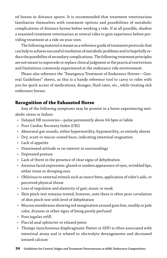ed horses in distance sports. It is recommended that treatment veterinarians familiarize themselves with treatment options and possibilities of metabolic complications of distance horses before working a ride. If at all possible, shadow a seasoned treatment veterinarian at several rides to gain experience before providing treatment at a ride on your own.

The following material is meant as a reference guide of treatment protocols that can help to achieve successful resolution of metabolic problems and to hopefully reduce the possibility of secondary complications. The following treatment principles are not meant to supercede or replace clinical judgment or the practical restrictions and limitations commonly experienced at the endurance ride environment.

Please also reference the "Emergency Treatment of Endurance Horses—General Guidelines" sheets, as this is a handy reference tool to carry to rides with you for quick access of medications, dosages, fluid rates, etc., while treating sick endurance horses.

### **Recognition of the Exhausted Horse**

Any of the following symptoms may be present in a horse experiencing metabolic stress or failure:

- Delayed HR recoveries—pulse persistently above 64 bpm or labile
- Poor Cardiac Recovery Index (CRI)
- Abnormal gut sounds, either hypermotility, hypomotility, or entirely absent
- Dry, scant or mucus-coated feces, indicating intestinal stagnation
- Lack of appetite
- Disoriented attitude or no interest in surroundings
- Depressed posture
- Lack of thirst in the presence of clear signs of dehydration
- Anxious facial expression: glazed or sunken appearance of eyes, wrinkled lips, either tense or drooping ears
- Oblivious to external stimuli such as insect bites, application of rider's aids, or perceived physical threat
- Loss of impulsion and elasticity of gait; ataxic or weak
- Skin pinch test remains tented; however, note there is often poor correlation of skin pinch test with level of dehydration
- Mucous membranes showing red margination around gum line, muddy or pale color, dryness or other signs of being poorly perfused
- Poor jugular refill
- Flaccid anal sphincter or relaxed penis
- Thumps (synchronous diaphragmatic flutter or SDF) is often associated with intestinal atony and is related to electrolyte derangements and decreased ionized calcium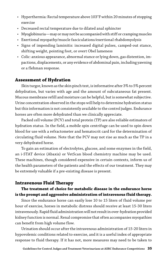- Hyperthermia: Rectal temperature above 103°F within 20 minutes of stopping exercise
- Decreased rectal temperature due to dilated anal sphincter
- Myoglobinuria—may or may not be accompanied with stiff or cramping muscles
- Exertional myopathy/muscle fasciculations/exertional rhabdomyolysis
- Signs of impending laminitis: increased digital pulses, camped-out stance, shifting weight, pointing foot, or overt Obel lameness
- Colic: anxious appearance, abnormal stance or lying down, gas distention, impactions, displacements, or any evidence of abdominal pain, including yawning or a flehman response.

#### **Assessment of Hydration**

Skin turgor, known as the skin pinch test, is informative after 3% to 5% percent dehydration, but varies with age and the amount of subcutaneous fat present. Mucous membrane refill and moisture can be helpful, but is somewhat subjective. Urine concentration observed in the stops will help to determine hydration status but this information is not consistently available to the control judges. Endurance horses are often more dehydrated than we clinically appreciate.

Packed cell volume (PCV) and total protein (TP) are also reliable estimators of hydration status. In the field, a mobile spin centrifuge can be used to spin down blood for use with a refractometer and hematocrit card for the determination of circulating fluid volume. Note that the PCV may not rise as much as the TP in a very dehydrated horse.

To gain an estimation of electrolytes, glucose, and some enzymes in the field, an i-STAT device (Abaxis) or VetScan blood chemistry machine may be used. These machines, though considered expensive in certain contexts, inform us of the health parameters of the patients and the effects of our treatment. They may be extremely valuable if a pre-existing disease is present.

#### **Intravenous Fluid Therapy**

#### **The treatment of choice for metabolic disease in the endurance horse is the prompt and aggressive administration of intravenous fluid therapy.**

Since the endurance horse can easily lose 10 to 15 liters of fluid volume per hour of exercise, horses in metabolic distress should receive at least 15-30 liters intravenously. Rapid fluid administration will not result in over-hydration provided kidney function is normal. Renal compromise that often accompanies myopathies can benefit from high volume flow.

Urination should occur after the intravenous administration of 15-20 liters in hypovolemic conditions related to exercise, and it is a useful index of appropriate response to fluid therapy. If it has not, more measures may need to be taken to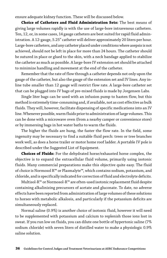ensure adequate kidney function. These will be discussed below.

**Choice of Catheters and Fluid Administration Sets:** The best means of giving large volumes rapidly is with the use of large-bore intravenous catheters. Ten, 12, or, in some cases, 14 gauge catheters are best suited for rapid fluid administration. A 12-gauge, 5.25" catheter will deliver approximately 20 liters per hour. Large-bore catheters, and any catheter placed under conditions where asepsis is not achieved, should not be left in place for more than 24 hours. The catheter should be sutured in place or glued to the skin, with a neck bandage applied to stabilize the catheter as much as possible. A large-bore IV extension set should be attached to minimize handling and movement at the end of the catheter.

Remember that the rate of flow through a catheter depends not only upon the gauge of the catheter, but also the gauge of the extension set and IV lines. Any inline tube smaller than 12 gauge will restrict flow rate. A large-bore catheter set that can be plugged into IV bags of pre-mixed fluids is made by Jorgensen Labs.

Single liter bags can be used with an infusion pump to hasten flow, but this method is extremely time-consuming and, if available, not as cost effective as bulk fluids. They will, however, facilitate dispensing of specific medications into an IV line. Whenever possible, warm fluids prior to administration of large volumes. This can be done with a microwave oven (from a nearby camper or convenience store) or by immersing bags in hot water baths to warm the fluids.

The higher the fluids are hung, the faster the flow rate. In the field, some ingenuity may be necessary to find a suitable fluid perch: trees or tree branches work well, as does a horse trailer or motor home roof ladder. A portable IV pole is described under the Suggested List of Equipment.

**Choices of Fluids:** For the dehydrated horse/exhausted horse complex, the objective is to expand the extracellular fluid volume, primarily using isotonic fluids. Many commercial preparations make this objective quite easy. The fluid of choice is Normosol R™ or Plasmalyte™, which contains sodium, potassium, and chloride, and is specifically indicated for correction of fluid and electrolyte deficits.

Multisol-R™ or Normosol-R™ are often-used isotonic replacement fluid despite containing alkalinizing precursors of acetate and gluconate. To date, no adverse effects have been reported from administration of large volumes of these solutions to horses with metabolic alkalosis, and particularly if the potassium deficits are simultaneously replaced.

Normal saline (0.9%) is another choice of isotonic fluid, however it will need to be supplemented with potassium and calcium to replenish those ions lost in sweat. If you run low on fluids, you can dilute one bottle of hypertonic saline (7% sodium chloride) with seven liters of distilled water to make a physiologic 0.9% saline solution.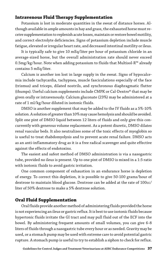### **Intravenous Fluid Therapy Supplementation**

Potassium is lost in moderate quantities in the sweat of distance horses. Although available in ample amounts in hay and grass, the exhausted horse must receive supplementation to replenish acute losses, maintain or restore bowel motility, and correct electrolyte deficiencies. Signs of potassium depletion include muscle fatigue, elevated or irregular heart rate, and decreased intestinal motility or ileus.

It is typically safe to give 10 mEq/liter per hour of potassium chloride in an average-sized horse, but the overall administration rate should never exceed 0.5mg/kg/hour. Note when adding potassium to fluids that Multisol-R™ already contains 5 mEq/liter.

Calcium is another ion lost in large supply in the sweat. Signs of hypocalcemia include tachycardia, tachypnea, muscle fasciculations especially of the face (trismus) and triceps, dilated nostrils, and synchronous diaphragmatic flutter (thumps). Useful calcium supplements include CMPK or Cal-Dextro® that may be given orally or intravenously. Calcium gluconate (23%) may be administered at a rate of 1 ml/kg/hour diluted in isotonic fluids.

DMSO is another supplement that may be added to the IV fluids as a 5%-10% solution. A solution of greater than 10% may cause hemolysis and should be avoided. Split one pint of DMSO liquid between 12 liters of fluids and only give this concurrently with generous volume replacement. As a potent diuretic, DMSO dilates renal vascular beds. It also neutralizes some of the toxic effects of myoglobin so is useful to treat rhabdomyolysis and to prevent acute renal failure. DMSO acts as an anti-inflammatory drug as it is a free radical scavenger and quite effective against the effects of endotoxins.

The easiest and safest method of DMSO administration is via a nasogastric tube, provided no ileus is present. Up to one pint of DMSO is mixed in a 1:5 ratio with isotonic fluids to avoid gastric irritation.

One common component of exhaustion in an endurance horse is depletion of energy. To correct this depletion, it is possible to give 50-100 grams/hour of dextrose to maintain blood glucose. Dextrose can be added at the rate of 100cc/ liter of 50% dextrose to make a 5% dextrose solution.

#### **Oral Fluid Supplementation**

Oral fluids provide another method of administering fluids provided the horse is not experiencing an ileus or gastric reflux. It is best to use isotonic fluids because hypertonic fluids irritate the GI tract and may pull fluid out of the ECF into the bowel. By administering frequent amounts of small volumes, you can give 6-8 liters of fluids through a nasogastric tube every hour or as needed. Gravity may be used, or a stomach pump may be used with extreme care to avoid potential gastric rupture. A stomach pump is useful to try to establish a siphon to check for reflux.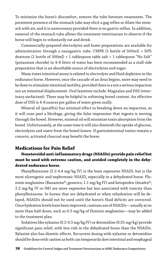To minimize the horse's discomfort, remove the tube between treatments. The persistent presence of the stomach tube may elicit a gag reflex or dilate the stomach with air, and it is unnecessary provided there is no gastric reflux. In addition, removal of the stomach tube allows the treatment veterinarian to observe if the horse will begin to voluntarily eat and drink.

Commercially-prepared electrolytes and home preparations are available for administration through a nasogastric tube. CMPK (1 bottle of 500ml) + 50% dextrose (1 bottle of 500ml) + 1 tablespoon table salt + 1 tablespoon "No Salt" (potassium choride) in 4-8 liters of water has been recommended as a stall-side preparation that is an absorbable source of electrolytes and sugar.

Many times intestinal atony is related to electrolyte and fluid depletion in the endurance horse. However, once the cascade of an ileus begins, more may need to be done to stimulate intestinal motility, provided there is a not a serious impaction nor an intestinal displacement. Oral laxatives include: Magnalax and DSS (veterinary surfactant). These may be helpful in softening bowel content. An effective dose of DSS is 4-8 ounces per gallon of water given orally.

Mineral oil (paraffin) has minimal effect in breaking down an impaction, as it will ooze past a blockage, giving the false impression that ingesta is moving through the bowel. However, mineral oil will minimize toxin absorption from the bowel. Unfortunately, at the same time it will also diminish the uptake of glucose, electrolytes and water from the bowel lumen. If gastrointestinal toxins remain a concern, activated charcoal may benefit the horse.

#### **Medications for Pain Relief**

### **Nonsteroidal anti-inflammatory drugs (NSAIDs) provide pain relief but must be used with extreme caution, and avoided completely in the dehydrated endurance horse.**

Phenylbutazone (2.2-4.4 mg/kg IV) is the least expensive NSAID, but is the most ulcerogenic and nephrotoxic NSAID, especially in a dehydrated horse. Flunixin meglumine (Banamine®, generics; 1.1 mg/kg IV) and ketoprofen (Anafen®; 2.2 mg/kg IV or IM) are more expensive but less associated with toxicity than phenylbutazone. In horses that are dehydrated or when rehydration will be delayed, NSAIDs should not be used until the horse's fluid deficits are corrected. Once hydration levels have been improved, cautious use of NSAIDs—usually at no more than half doses, such as 0.5 mg/kg of flunixin meglumine—may be added to the treatment plan.

Sedatives like xylazine (0.2-0.5 mg/kg IV) or detomidine (0.01 mg/kg) provide significant pain relief, with less risk in the dehydrated horse than the NSAIDs. Xylazine also has diuretic effects. Recurrent dosing with xylazine or detomidine should be done with caution as both can temporarily slow intestinal and esophageal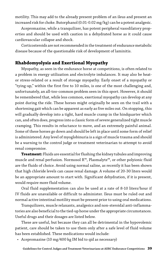motility. This may add to the already present problem of an ileus and present an increased risk for choke. Butorphanol (0.01-0.02 mg/kg) can be a potent analgesic.

Acepromazine, while a tranquilizer, has potent peripheral vasodilatory properties and should be used with caution in a dehydrated horse as it could cause cardiovascular collapse and shock.

Corticosteroids are not recommended in the treatment of endurance metabolic disease because of the questionable risk of development of laminitis.

#### **Rhabdomyolysis and Exertional Myopathy**

Myopathy, as seen in the endurance horse at competitions, is often related to a problem in energy utilization and electrolyte imbalances. It may also be heator stress-related or a result of storage myopathy. Early onset of a myopathy or "tying-up," within the first five to 10 miles, is one of the most challenging and, unfortunately, an all-too-common problem seen in this sport. However, it should be remembered that, while less common, exertional myopathy can develop at any point during the ride. These horses might originally be seen on the trail with a shortening gait which can be apparent as early as five miles out. On stopping, this will gradually develop into a tight, hard muscle cramp in the hindquarter which can, and often does, progress into a classic form of severe generalized tight muscle cramping. This results in reluctance to move, and an extremely painful animal. Some of these horses go down and should be left in place until some form of relief is administered. Any level of myoglobinuria is a sign of muscle trauma and should be a warning to the control judge or treatment veterinarian to attempt to avoid renal compromise.

**Treatment:** Fluids are essential for flushing the kidney tubules and improving muscle and renal perfusion. Normosol R™, Plasmalyte™, or other polyionic fluid are the fluids of choice. Avoid using normal saline, as recently it has been shown that high chloride levels can cause renal damage. A volume of 20-30 liters would be an appropriate amount to start with. Significant dehydration, if it is present, would require more fluid volume.

Oral fluid supplementation can also be used at a rate of 8-10 liters/hour if IV fluids are unavailable or difficult to administer. Ileus must be ruled out and normal active intestinal motility must be present prior to using oral medications.

Tranquilizers, muscle relaxants, analgesics and non-steroidal anti-inflammatories are also beneficial to the tied-up horse under the appropriate circumstances. Useful drugs and their dosages are listed below.

These are useful, but because they can all be detrimental in the hypovolemic patient, care should be taken to use them only after a safe level of fluid volume has been established. These medications would include:

• Acepromazine (10 mg/400 kg IM bid to qid as necessary)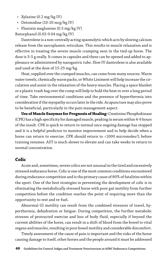- Xylazine (0.2 mg/kg IV)
- Detomidine (10-20 mcg/kg IV)
- Flunixin meglumine (0.5 mg/kg IV)

Butorphanol (0.02-0.04 mg/kg IV)

Dantrolene is a non-centrally acting spasmolytic which acts by slowing calcium release from the sarcoplasmic reticulum. This results in muscle relaxation and is effective in treating the severe muscle cramping seen in the tied-up horse. The dose is 3-5 g orally. It comes in capsules and these can be opened and added to applesauce or administered by nasogastric tube. Slow IV dantrolene is also available and used at the dose of 15-25 mg/kg.

Heat, supplied over the cramped muscles, can come from many sources. Warm water towels, chemically warm packs, or White Liniment will help increase the circulation and assist in the relaxation of the heavy muscles. Placing a space blanket or a plastic trash bag over the rump will help to hold the heat in over a long period of time. Take environmental conditions and the presence of hyperthermia into consideration if the myopathy occurs later in the ride. Acupuncture may also prove to be beneficial, particularly in the pain management aspect.

**Use of Muscle Enzymes for Prognosis of Healing:** Creatinine Phosphokinase (CPK) has a high specificity for damaged muscle, peaking in serum within 4-6 hours of the insult. CPK is quick to return to normal once ongoing damage has stopped and it is a helpful predictor to monitor improvement and to help decide when a horse can return to exercise. CPK should return to <1000 micromoles/L before training resumes. AST is much slower to elevate and can take weeks to return to normal concentration.

#### **Colic**

Acute and, sometimes, severe colics are not unusual in the tired and excessively stressed endurance horse. Colic is one of the most common conditions encountered during endurance competition and is the primary cause of 80% of fatalities within the sport. One of the best strategies in preventing the development of colic is in eliminating the metabolically stressed horse with poor gut motility from further competition before the condition reaches the point of requiring more than the opportunity to rest and re-fuel.

Abnormal GI motility can result from the combined stressors of travel, hyperthermia, dehydration or fatigue. During competition, the further metabolic stresses of protracted exercise and loss of body fluid, especially if beyond the current abilities of the horse, can result in a shift of blood from the bowel to vital organs and muscles, resulting in poor bowel motility and considerable discomfort.

Timely assessment of the cause of pain is important and the risks of the horse causing damage to itself, other horses and the people around it must be addressed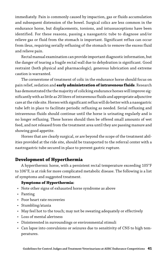immediately. Pain is commonly caused by impaction, gas or fluids accumulation and subsequent distension of the bowel. Surgical colics are less common in the endurance horse, but displacements, torsions, and intussusceptions have been identified. For these reasons, passing a nasogastric tube to diagnose and/or relieve gas or fluid from the stomach is important. Significant reflux can occur from ileus, requiring serially refluxing of the stomach to remove the excess fluid and relieve pain.

Rectal manual examination can provide important diagnostic information, but the danger of tearing a fragile rectal wall due to dehydration is significant. Good restraint (both physical and pharmacologic), generous lubrication and extreme caution is warranted.

The cornerstone of treatment of colic in the endurance horse should focus on pain relief, sedation and **early administration of intravenous fluids**. Research has demonstrated the the majority of colicking endurance horses will improve significantly with as little as 20 liters of intravenous fluids and appropriate adjunctive care at the ride site. Horses with significant reflux will do better with a nasogastric tube left in place to facilitate periodic refluxing as needed. Serial refluxing and intravenous fluids should continue until the horse is urinating regularly and is no longer refluxing. These horses should then be offered small amounts of wet feed, and not released from the treatment area until they are passing manure and showing good appetite.

Horses that are clearly surgical, or are beyond the scope of the treatment abilities provided at the ride site, should be transported to the referral center with a nastrogastric tube secured in place to prevent gastric rupture.

#### **Development of Hyperthermia**

A hyperthermic horse, with a persistent rectal temperature exceeding 105°F to 106°F, is at risk for more complicated metabolic disease. The following is a list of symptoms and suggested treatment.

#### **Symptoms of Hyperthermia:**

- Note other signs of exhausted horse syndrome as above
- Panting
- Poor heart rate recoveries
- Stumbling/ataxia
- May feel hot to the touch; may not be sweating adequately or effectively
- Loss of mental alertness
- Disinterested in surroundings or environmental stimuli
- Can lapse into convulsions or seizures due to sensitivity of CNS to high temperatures.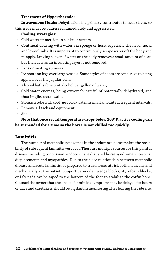#### **Treatment of Hyperthermia:**

**Intravenous fluids:** Dehydration is a primary contributor to heat stress, so this issue must be addressed immediately and aggressively.

#### **Cooling strategies:**

- Cold water immersion in a lake or stream
- Continual dousing with water via sponge or hose, especially the head, neck, and lower limbs. It is important to continuously scrape water off the body and re-apply. Leaving a layer of water on the body removes a small amount of heat, but then acts as an insulating layer if not removed.
- Fans or misting sprayers
- Ice boots on legs over large vessels. Some styles of boots are conducive to being applied over the jugular veins.
- Alcohol baths (one pint alcohol per gallon of water)
- Cold water enemas, being extremely careful of potentially dehydrated, and thus fragile, rectal walls.
- Stomach tube with cool (**not** cold) water in small amounts at frequent intervals.
- Remove all tack and equipment
- Shade.

#### **Note that once rectal temperature drops below 103°F, active cooling can be suspended for a time so the horse is not chilled too quickly.**

#### **Laminitis**

The number of metabolic syndromes in the endurance horse makes the possibility of subsequent laminitis very real. There are multiple sources for this painful disease including concussion, endotoxins, exhausted horse syndrome, intestinal displacements and myopathies. Due to the close relationship between metabolic disease and acute laminitis, be prepared to treat horses at risk both medically and mechanically at the outset. Supportive wooden wedge blocks, styrofoam blocks, or Lily pads can be taped to the bottom of the foot to stabilize the coffin bone. Counsel the owner that the onset of laminitis symptoms may be delayed for hours or days and caretakers should be vigilant in monitoring after leaving the ride site.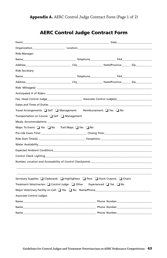|                                                                                 | <b>Organization Construction Construction Construction</b>                                                                                                                                                                          |
|---------------------------------------------------------------------------------|-------------------------------------------------------------------------------------------------------------------------------------------------------------------------------------------------------------------------------------|
| Ride Manager:                                                                   |                                                                                                                                                                                                                                     |
|                                                                                 |                                                                                                                                                                                                                                     |
|                                                                                 |                                                                                                                                                                                                                                     |
| Ride Secretary:                                                                 |                                                                                                                                                                                                                                     |
|                                                                                 |                                                                                                                                                                                                                                     |
|                                                                                 |                                                                                                                                                                                                                                     |
|                                                                                 |                                                                                                                                                                                                                                     |
|                                                                                 | Anticipated # of Riders <b>Anticipated</b> # of Riders                                                                                                                                                                              |
|                                                                                 | Fee: Head Control Judge <b>Manufation Control Associate Control Judge(s)</b>                                                                                                                                                        |
|                                                                                 |                                                                                                                                                                                                                                     |
| Travel Arrangements: Self Sumagement Reimbursement: Yes No                      |                                                                                                                                                                                                                                     |
| Transportation on Course: $\Box$ Self $\Box$ Management                         |                                                                                                                                                                                                                                     |
|                                                                                 |                                                                                                                                                                                                                                     |
| Maps: To Event: Yes No Trail Maps: Yes No                                       |                                                                                                                                                                                                                                     |
|                                                                                 |                                                                                                                                                                                                                                     |
|                                                                                 |                                                                                                                                                                                                                                     |
|                                                                                 |                                                                                                                                                                                                                                     |
|                                                                                 |                                                                                                                                                                                                                                     |
|                                                                                 |                                                                                                                                                                                                                                     |
|                                                                                 |                                                                                                                                                                                                                                     |
|                                                                                 |                                                                                                                                                                                                                                     |
| Secretary Supplies: I Clipboards I Highlighters I Pens I Stock Crayons I Chairs |                                                                                                                                                                                                                                     |
| Treatment Veterinarian: Control Judge Conter Experienced: Thes Control          |                                                                                                                                                                                                                                     |
|                                                                                 |                                                                                                                                                                                                                                     |
| Associate Control Judges:                                                       |                                                                                                                                                                                                                                     |
|                                                                                 |                                                                                                                                                                                                                                     |
|                                                                                 | Name <b>Number</b> and the set of the set of the set of the set of the set of the set of the set of the set of the set of the set of the set of the set of the set of the set of the set of the set of the set of the set of the se |
| Name                                                                            |                                                                                                                                                                                                                                     |

# AERC Control Judge Contract Form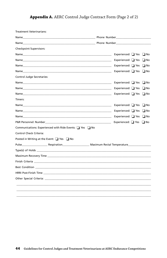### Appendix A. AERC Control Judge Contract Form (Page 2 of 2)

| Treatment Veterinarians:                                                                                                                                                                                                             |                                   |
|--------------------------------------------------------------------------------------------------------------------------------------------------------------------------------------------------------------------------------------|-----------------------------------|
|                                                                                                                                                                                                                                      |                                   |
| Name <b>Name and Solution Contract Contract Contract Contract Contract Contract Contract Contract Contract Contract Contract Contract Contract Contract Contract Contract Contract Contract Contract Contract Contract Contract </b> |                                   |
| <b>Checkpoint Supervisors:</b>                                                                                                                                                                                                       |                                   |
| Name and the contract of the contract of the contract of the contract of the contract of the contract of the contract of the contract of the contract of the contract of the contract of the contract of the contract of the c       | Experienced: $\Box$ Yes $\Box$ No |
|                                                                                                                                                                                                                                      |                                   |
|                                                                                                                                                                                                                                      | Experienced: ■ Yes ■ No           |
|                                                                                                                                                                                                                                      | Experienced: $\Box$ Yes $\Box$ No |
| Control Judge Secretaries:                                                                                                                                                                                                           |                                   |
|                                                                                                                                                                                                                                      | Experienced: ■ Yes ■ No           |
|                                                                                                                                                                                                                                      | Experienced: ■ Yes ■ No           |
|                                                                                                                                                                                                                                      | Experienced: ■ Yes ■ No           |
| Timers:                                                                                                                                                                                                                              |                                   |
|                                                                                                                                                                                                                                      | Experienced: $\Box$ Yes $\Box$ No |
|                                                                                                                                                                                                                                      | Experienced: $\Box$ Yes $\Box$ No |
|                                                                                                                                                                                                                                      | Experienced: $\Box$ Yes $\Box$ No |
|                                                                                                                                                                                                                                      | Experienced: ■ Yes ■ No           |
| Communications: Experienced with Ride Events: ■ Yes ■ No                                                                                                                                                                             |                                   |
| <b>Control Check Criteria:</b>                                                                                                                                                                                                       |                                   |
| Posted in Writing at the Event: $\Box$ Yes $\Box$ No                                                                                                                                                                                 |                                   |
|                                                                                                                                                                                                                                      |                                   |
|                                                                                                                                                                                                                                      |                                   |
|                                                                                                                                                                                                                                      |                                   |
|                                                                                                                                                                                                                                      |                                   |
|                                                                                                                                                                                                                                      |                                   |
|                                                                                                                                                                                                                                      |                                   |
| Other Special Criteria: with a state of the state of the state of the state of the state of the state of the state of the state of the state of the state of the state of the state of the state of the state of the state of        |                                   |
|                                                                                                                                                                                                                                      |                                   |
|                                                                                                                                                                                                                                      |                                   |
|                                                                                                                                                                                                                                      |                                   |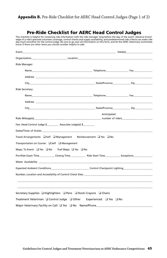#### **Appendix B.** Pre-Ride Checklist for AERC Head Control Judges (Page 1 of 2)

### Pre-Ride Checklist for AERC Head Control Judges

This checklist is helpful for reviewing ride information with the ride manager long before the day of the event. Advance knowl-<br>edge of a ride's planned volunteer coverage, control checks and supply availability, and prede

| Organization <b>Contract Contract Contract Contract Contract Contract Contract Contract Contract Contract Contract Contract Contract Contract Contract Contract Contract Contract Contract Contract Contract Contract Contract C</b> |             |  |
|--------------------------------------------------------------------------------------------------------------------------------------------------------------------------------------------------------------------------------------|-------------|--|
| Ride Manager:                                                                                                                                                                                                                        |             |  |
|                                                                                                                                                                                                                                      |             |  |
|                                                                                                                                                                                                                                      |             |  |
|                                                                                                                                                                                                                                      |             |  |
| Ride Secretary:                                                                                                                                                                                                                      |             |  |
|                                                                                                                                                                                                                                      |             |  |
| Address and the contract of the contract of the contract of the contract of the contract of the contract of the contract of the contract of the contract of the contract of the contract of the contract of the contract of th       |             |  |
|                                                                                                                                                                                                                                      |             |  |
|                                                                                                                                                                                                                                      | Anticipated |  |
|                                                                                                                                                                                                                                      |             |  |
| Fee: Head Control Judge \$____________ Associate Judge(s) \$_________                                                                                                                                                                |             |  |
|                                                                                                                                                                                                                                      |             |  |
| Travel Arrangements: □ Self □ Management Reimbursement: □ Yes □ No                                                                                                                                                                   |             |  |
| Transportation on Course: $\Box$ Self $\Box$ Management                                                                                                                                                                              |             |  |
| Maps: To Event: Yes No Trail Maps: Yes No                                                                                                                                                                                            |             |  |
| Pre-Ride Exam Time_____________Closing Time_____________________Ride Start Time_______________________________                                                                                                                       |             |  |
|                                                                                                                                                                                                                                      |             |  |
| Expected Ambient Conditions___________________________________Control Checkpoint Lighting_____________________                                                                                                                       |             |  |
|                                                                                                                                                                                                                                      |             |  |
|                                                                                                                                                                                                                                      |             |  |
|                                                                                                                                                                                                                                      |             |  |
| Secretary Supplies: □ Highlighters □ Pens □ Stock Crayons □ Chairs                                                                                                                                                                   |             |  |
| Treatment Veterinian: □ Control Judge □ Other Experienced: □ Yes □ No                                                                                                                                                                |             |  |
| Major Veterinary Facility on Call: Q Yes Q No Name/Phone________________________                                                                                                                                                     |             |  |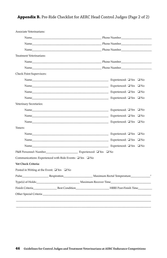#### **Appendix B.** Pre-Ride Checklist for AERC Head Control Judges (Page 2 of 2)

| Associate Veterinarians:                                                                                                                                                                                                             |  |
|--------------------------------------------------------------------------------------------------------------------------------------------------------------------------------------------------------------------------------------|--|
|                                                                                                                                                                                                                                      |  |
| Name <b>Number Number Number Phone Number</b>                                                                                                                                                                                        |  |
|                                                                                                                                                                                                                                      |  |
| <b>Treatment Veterinarians:</b>                                                                                                                                                                                                      |  |
|                                                                                                                                                                                                                                      |  |
| Name Phone Number Phone Number                                                                                                                                                                                                       |  |
| Check Point Supervisors:                                                                                                                                                                                                             |  |
|                                                                                                                                                                                                                                      |  |
|                                                                                                                                                                                                                                      |  |
| Name Experienced: $\square$ Yes $\square$ No                                                                                                                                                                                         |  |
| Name Experienced: $\square$ Yes $\square$ No                                                                                                                                                                                         |  |
| Veterinary Secretaries:                                                                                                                                                                                                              |  |
| Name Experienced: $\square$ Yes $\square$ No                                                                                                                                                                                         |  |
|                                                                                                                                                                                                                                      |  |
| Name Experienced: $\square$ Yes $\square$ No                                                                                                                                                                                         |  |
| Timers:                                                                                                                                                                                                                              |  |
|                                                                                                                                                                                                                                      |  |
|                                                                                                                                                                                                                                      |  |
| Name Experienced: $\square$ Yes $\square$ No                                                                                                                                                                                         |  |
|                                                                                                                                                                                                                                      |  |
| Communications: Experienced with Ride Events: $\Box$ Yes $\Box$ No                                                                                                                                                                   |  |
| Vet Check Criteria:                                                                                                                                                                                                                  |  |
| Posted in Writing at the Event: $\Box$ Yes $\Box$ No                                                                                                                                                                                 |  |
| Pulse Respiration Records Naximum Rectal Temperature                                                                                                                                                                                 |  |
| Type(s) of Holds: Maximum Recover Time                                                                                                                                                                                               |  |
| Finish Criteria <b>Best Condition Example 1</b> HRRI Post-Finish Time                                                                                                                                                                |  |
| Other Special Criteria <b>Manual According to the Contract Contract Contract Contract Contract Contract Contract Contract Contract Contract Contract Contract Contract Contract Contract Contract Contract Contract Contract Con</b> |  |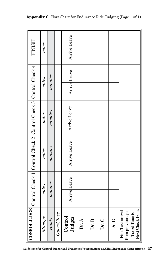|                                                                 |         |         |            |         | Arrive Leave |       |       |       |      |                                          |                                    |
|-----------------------------------------------------------------|---------|---------|------------|---------|--------------|-------|-------|-------|------|------------------------------------------|------------------------------------|
| <b>FINISH</b>                                                   | miles   |         |            |         |              |       |       |       |      |                                          |                                    |
|                                                                 | miles   |         |            |         | Arrive Leave |       |       |       |      |                                          |                                    |
|                                                                 |         | minutes |            |         |              |       |       |       |      |                                          |                                    |
| Control Check 1 Control Check 2 Control Check 3 Control Check 4 | miles   |         |            |         |              |       |       |       |      |                                          |                                    |
|                                                                 |         | minutes |            |         | Arrive Leave |       |       |       |      |                                          |                                    |
|                                                                 | miles   | minutes |            |         | Arrive Leave |       |       |       |      |                                          |                                    |
|                                                                 |         |         |            |         |              |       |       |       |      |                                          |                                    |
|                                                                 | miles   | minutes |            |         | Arrive Leave |       |       |       |      |                                          |                                    |
|                                                                 |         |         |            |         |              |       |       |       |      |                                          |                                    |
| <b>CONROL JUDGE</b>                                             | Mileage | Holds   | Open/Close | Control | Judges       | Dr. A | Dr. B | Dr. C | Dr.D | from previous year<br>First/Last arrival | Next Check Point<br>Travel Time to |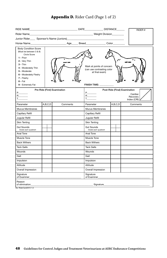#### RIDE NAME\_\_\_\_\_\_\_\_\_\_\_\_\_\_\_\_\_\_\_\_\_\_\_\_\_\_\_\_\_\_\_\_\_\_\_\_ DATE\_\_\_\_\_\_\_\_\_\_\_\_\_\_ DISTANCE\_\_\_\_\_\_ RIDER # Rider Name\_\_\_\_\_\_\_\_\_\_\_\_\_\_\_\_\_\_\_\_\_\_\_\_\_\_\_\_\_\_\_\_\_\_\_\_\_\_\_\_\_\_\_\_\_\_\_\_ Weight Division\_\_\_\_\_\_\_\_\_ Junior Rider Sponsor's Name (Juniors) Horse Name\_\_\_\_\_\_\_\_\_\_\_\_\_\_\_\_\_\_\_\_\_\_\_\_\_\_\_ Age\_\_\_\_\_ Breed\_\_\_\_\_\_\_\_\_\_\_\_\_\_\_ Color\_\_\_\_\_\_\_\_\_ Body Condition Score (Must be between 3 & 8) Circle Score **1** – Poor ,, **2** – Very Thin **3** – Thin Mark at points of concern **4** – Moderately Thin (can use contrasting color **5** – Moderate at final exam) **6** – Moderately Fleshy **7** – Fleshy **8** – Fat FINISH TIME: **9** – Extremely Fat Pre-Ride (First) Examination Post-Ride (Final) Examination P\_\_\_\_\_\_\_\_ P\_\_\_\_\_\_\_\_ Cardiac  $\mathsf{R}$  $\mathsf{R}$ Recovery Index (CRI) $T_{\perp}$  $T_{\perp}$ Parameter  $|A, B, C, D|$  Comments Parameter **A,B,C,D** Comments Mucus Membranes Mucus Membranes Capillary Refill Capillary Refill Jugular Refill Jugular Refill Skin Tenting Skin Tenting Gut Sounds<br>Grade each quadrant Gut Sounds Grade each quadrant Grade each quadrant Anal Tone Anal Tone Muscle Tone Muscle Tone Back Withers Back Withers Tack Galls Tack Galls Wounds **Wounds** Gait Gait Impulsion Impulsion Attitude Attitude Overall Impression Overall Impression Signature Signature of Examiner\_\_\_\_\_\_\_\_\_\_\_\_\_\_\_\_\_\_\_\_\_\_\_\_\_\_\_\_\_\_\_\_\_\_\_\_\_\_\_\_\_\_\_\_ of Examiner\_\_\_\_\_\_\_\_\_\_\_\_\_\_\_\_\_\_\_\_\_\_\_\_\_\_\_\_\_\_\_\_\_\_\_\_\_\_\_\_\_\_\_\_ Reason<br>of elimination of elimination\_\_\_\_\_\_\_\_\_\_\_\_\_\_\_\_\_\_\_\_\_\_\_\_\_\_\_\_\_\_\_\_\_\_\_\_\_\_\_\_\_\_\_\_\_\_\_\_\_\_\_\_\_ Signature\_\_\_\_\_\_\_\_\_\_\_\_\_\_\_\_\_\_\_\_\_\_\_\_\_\_\_\_\_\_\_\_\_\_\_\_\_\_\_

#### Appendix D. Rider Card (Page 1 of 2)

file: RiderCard2015 1.0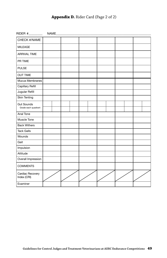#### **Appendix D.** Rider Card (Page 2 of 2)

|                                 | NAME |  |  |  |
|---------------------------------|------|--|--|--|
| CHECK #/NAME                    |      |  |  |  |
| <b>MILEAGE</b>                  |      |  |  |  |
| <b>ARRIVAL TIME</b>             |      |  |  |  |
| PR TIME                         |      |  |  |  |
| <b>PULSE</b>                    |      |  |  |  |
| <b>OUT TIME</b>                 |      |  |  |  |
| Mucus Membranes                 |      |  |  |  |
| Capillary Refill                |      |  |  |  |
| Jugular Refill                  |      |  |  |  |
| <b>Skin Tenting</b>             |      |  |  |  |
| <b>Gut Sounds</b>               |      |  |  |  |
| Grade each quadrant             |      |  |  |  |
| Anal Tone                       |      |  |  |  |
| Muscle Tone                     |      |  |  |  |
| <b>Back Withers</b>             |      |  |  |  |
| <b>Tack Galls</b>               |      |  |  |  |
| Wounds                          |      |  |  |  |
| Gait                            |      |  |  |  |
| Impulsion                       |      |  |  |  |
| Attitude                        |      |  |  |  |
| Overall Impression              |      |  |  |  |
| <b>COMMENTS</b>                 |      |  |  |  |
| Cardiac Recovery<br>Index (CRI) |      |  |  |  |
| Examiner                        |      |  |  |  |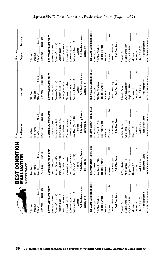|                                                      | BEST CONDITION                                       | Ride                                                        |                                                        | Ride Date                                                  |
|------------------------------------------------------|------------------------------------------------------|-------------------------------------------------------------|--------------------------------------------------------|------------------------------------------------------------|
|                                                      | EVALUATION<br>(instructions on reverse)              | Ride Manager                                                | Head Vet                                               | <b>Distance</b><br>Region                                  |
| Horse Name<br>Rider Name                             | Horse Name<br>Rider Name                             | Rider Name<br>Horse Name                                    | <b>Horse Name</b><br>Rider Name                        | Horse Name<br>Rider Name                                   |
| Finish Time<br>Rider #<br>Finish Place<br>Rider Wt.  | Finish Time<br>Rider#<br>Finish Place<br>Rider Wt.   | Finish Time<br>Rider#<br>Finish Place<br>Rider Wt.          | Finish Time<br>Rider $#_$<br>Finish Place<br>Rider Wt. | Finish Time<br>Rider#<br>Finish Place<br>Rider Wt.         |
| A. VETERINARY SCORE SHEET                            | A. VETERINARY SCORE SHEET                            | A. VETERINARY SCORE SHEET                                   | A. VETERINARY SCORE SHEET                              | A. VETERINARY SCORE SHEET                                  |
| Standing Evaluation                                  | <b>Standing Evaluation</b>                           | Standing Evaluation                                         | <b>Standing Evaluation</b>                             | Standing Evaluation                                        |
| Recovery (Score 1-10)                                | Recovery (Score 1-10)                                | Recovery (Score 1-10)                                       | Recovery (Score 1-10)                                  | Recovery (Score 1-10)                                      |
| Hydration (Score 1-10)                               | Hydration (Score 1-10)                               | Hydration (Score 1-10)                                      | Hydration (Score 1-10)                                 | Hydration (Score 1-10)                                     |
| Lesions (Score 1-10)                                 | Lesions (Score 1-10)                                 | Lesions (Score 1-10)                                        | Lesions (Score 1-10)                                   | Lesions (Score 1-10)                                       |
| Movement Evaluation                                  | Movement Evaluation                                  | Movement Evaluation                                         | Movement Evaluation                                    | Movement Evaluation                                        |
| Soundness (Score 1-10)                               | Soundness (Score 1-10)                               | Soundness (Score 1-10)                                      | Soundness (Score 1-10)                                 | Soundness (Score 1-10)                                     |
| Qual. Mvmt. (Score 1-10)                             | Qual. Mvmt. (Score 1-10)                             | Qual. Mvmt. (Score 1-10)                                    | Qual. Mymt. (Score 1-10)                               | Qual. Mvmt. (Score 1-10)                                   |
| Subtotal                                             | Subtotal                                             | Subtotal                                                    | Subtotal                                               | Subtotal                                                   |
| <b>Total Veterinary Score =</b>                      | Total Veterinary Score =                             | <b>Total Veterinary Score =</b>                             | Total Veterinary Score =                               | Total Veterinary Score =                                   |
| Subtotal x 10                                        | Subtotal x 10                                        | Subtotal x 10                                               | Subtotal x 10                                          | Subtotal x 10                                              |
| RIDE MANAGEMENT SCORE SHEET<br><b>B.</b> Time Factor | RIDE MANAGEMENT SCORE SHEET<br><b>B.</b> Time Factor | RIDE MANAGEMENT SCORE SHEET<br><b>B.</b> Time Factor        | RIDE MANAGEMENT SCORE SHEET<br><b>B.</b> Time Factor   | RIDE MANAGEMENT SCORE SHEET<br><b>B.</b> Time Factor       |
| Ride Time, This Rider                                | Ride Time, This Rider                                | Ride Time, This Rider                                       | Ride Time, This Rider                                  | Ride Time, This Rider                                      |
| Ride Time of Winner<br>Difference:                   | Ride Time of Winner<br>Difference:                   | Ride Time of Winner<br>Difference:                          | Ride Time of Winner<br>Difference:                     | Ride Time of Winner<br>Difference:                         |
| 200<br>Maximum                                       | $\frac{200}{200}$<br>Maximum                         | ଞ୍ଜ<br>Maximum                                              | $\frac{200}{200}$<br>Maximum                           | 200<br>Maximum                                             |
| Less Difference (-)                                  | Less Difference (-)                                  | Less Difference (-)                                         | Less Difference(-)                                     | Less Difference(-)                                         |
| <b>Total Time Score</b>                              | <b>Total Time Score</b>                              | <b>Total Time Score</b>                                     | <b>Total Time Score</b>                                | <b>Total Time Score</b>                                    |
| C. Weight Factor                                     | C. Weight Factor                                     | C. Weight Factor                                            | C. Weight Factor                                       | C. Weight Factor                                           |
| Wt. of Heaviest Rider<br>Weigh of This Rider         | Wt. of Heaviest Rider<br>Weigh of This Rider         | Wt. of Heaviest Rider<br>Weigh of This Rider                | Wt. of Heaviest Rider<br>Weigh of This Rider           | Wt. of Heaviest Rider<br>Weigh of This Rider               |
| Difference $\div 2$                                  | Difference $\div 2$                                  | Difference $\div 2$                                         | Difference $\div 2$                                    | Difference ÷ 2                                             |
| 700<br>Maximum                                       | 700<br>Maximum                                       | ğ,<br>Maximum                                               | 100<br>Maximum                                         | 図<br>Maximum                                               |
| <b>Total Weight Score</b><br>Less Diff. $\div$ 2 (-) | <b>Total Weight Score</b><br>Less Diff. $\div 2$ (-) | <b>Total Weight Score</b><br>$\text{Loss Diff.} \div 2$ (-) | <b>Total Weight Score</b><br>Less Diff. $\div$ 2 (-)   | <b>Total Weight Score</b><br>Less Diff. $\div$ 2 $(\cdot)$ |
| TOTAL SCORE = A + B + C =                            | TOTAL SCORE = $A + B + C =$                          | TOTAL SCORE = A + B + C =                                   | TOTAL SCORE = A + B + C =                              | TOTAL SCORE = $A + B + C =$                                |
|                                                      |                                                      |                                                             |                                                        |                                                            |

#### **Appendix E.** Best Condition Evaluation Form (Page 1 of 2)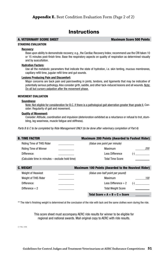### **Instructions**

A. VETERINARY SCORE SHEET **ALL ASSESS** Maximum Score 500 Points

#### **STANDING EVALUATION**

#### **Recovery:**

 Base upon ability to demonstrate recovery; e.g., the Cardiac Recovery Index; recommend use the CRI taken 10 or 15 minutes post-finish time. Base the respiratory aspects on quality of respiration as determined visually and by auscultation.

#### **Hydration Factors:**

 Use all the metabolic parameters that indicate the state of hydration, i.e. skin tenting, mucous membranes, capillary refill time, jugular refill time and gut sounds.

#### **Lesions Producing Pain and Discomfort:**

Major concerns are back pain and pain/swelling in joints, tendons, and ligaments that may be indicative of potentially serious pathology. Also consider girth, saddle, and other tack-induced lesions and all wounds. Note: Do all but cursory palpation after the movement phase.

#### **MOVEMENT EVALUATION**

#### **Soundness:**

Note: Not eligible for consideration for B.C. if there is a pathological gait aberration greater than grade II. Consider: Regularity of gait and movement.

#### **Quality of Movement:**

 Consider: Attitude, coordination and impulsion (deterioration exhibited as a reluctance or refusal to trot, stumbling, leg weariness, muscle fatigue and stiffness).

*Parts B & C to be completed by Ride Management ONLY (to be done after veterinary completion of Part A)*

| B. TIME FACTOR                                                     | <b>Maximum 200 Points (Awarded to Fastest Rider)</b> |            |
|--------------------------------------------------------------------|------------------------------------------------------|------------|
| <b>Riding Time of THIS Rider</b><br>and the company of the company | (Value one point per minute)                         |            |
| <b>Riding Time of Winner</b>                                       | Maximum                                              | <i>200</i> |
| Difference:                                                        | Less Difference                                      |            |
| (Calculate time in minutes - exclude hold time)                    | <b>Total Time Score</b>                              |            |

| C. WEIGHT                 | <b>Maximum 100 Points (Awarded to the Heaviest Rider)</b> |       |
|---------------------------|-----------------------------------------------------------|-------|
| <b>Weight of Heaviest</b> | (Value one-half point per pound)                          |       |
| Weight of THIS Rider      | Maximum                                                   | 100   |
| Difference:               | Less Difference $\div 2$                                  | $(-)$ |
| Difference $\div$ 2       | <b>Total Weight Score</b>                                 |       |
|                           | Total Score = $A + B + C =$ Score                         |       |

\*\* The rider's finishing weight is determined at the conclusion of the ride with tack and the same clothes worn during the ride.

This score sheet must accompany AERC ride results for winner to be eligible for regional and national awards. Mail original copy to AERC with ride results.

2.1 Rev. 4/06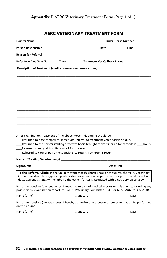#### **Appendix F.** AERC Veterinary Treatment Form (Page 1 of 1)

#### AERC VETERINARY TREATMENT FORM

| Person Responsible <b>Example 2018</b> Date <b>Date Contract Contract Contract Contract Contract Contract Contract Contract Contract Contract Contract Contract Contract Contract Contract Contract Contract Contract Contract Contra</b>                                                                   |                                                                                 |  |
|-------------------------------------------------------------------------------------------------------------------------------------------------------------------------------------------------------------------------------------------------------------------------------------------------------------|---------------------------------------------------------------------------------|--|
| Reason for Referral <b>contract the contract of the contract of the contract of the contract of the contract of th</b>                                                                                                                                                                                      |                                                                                 |  |
| Refer from Vet Gate No. Time Treatment Vet Callback Phone                                                                                                                                                                                                                                                   |                                                                                 |  |
| Description of Treatment (medications/amounts/route/time):                                                                                                                                                                                                                                                  |                                                                                 |  |
|                                                                                                                                                                                                                                                                                                             |                                                                                 |  |
|                                                                                                                                                                                                                                                                                                             |                                                                                 |  |
|                                                                                                                                                                                                                                                                                                             |                                                                                 |  |
|                                                                                                                                                                                                                                                                                                             |                                                                                 |  |
|                                                                                                                                                                                                                                                                                                             |                                                                                 |  |
|                                                                                                                                                                                                                                                                                                             |                                                                                 |  |
|                                                                                                                                                                                                                                                                                                             |                                                                                 |  |
|                                                                                                                                                                                                                                                                                                             |                                                                                 |  |
|                                                                                                                                                                                                                                                                                                             |                                                                                 |  |
| After examination/treatment of the above horse, this equine should be:<br>Returned to the horse's stabling area with horse brought to veterinarian for recheck in ____ hours<br>Referred to surgical hospital on call for this event<br>Released to care of person responsible, to return if symptoms recur | Returned to base camp with immediate referral to treatment veterinarian on duty |  |
|                                                                                                                                                                                                                                                                                                             |                                                                                 |  |
| Signature(s) and the control of the control of the control of the control of the control of the control of the control of the control of the control of the control of the control of the control of the control of the contro                                                                              |                                                                                 |  |
| To the Referral Clinic: In the unlikely event that this horse should not survive, the AERC Veterinary<br>Committee strongly suggests a post-mortem examination be performed for purposes of collecting<br>data. Currently, AERC will reimburse the owner for costs associated with a necropsy up to \$300.  |                                                                                 |  |
| Person responsible (owner/agent): I authorize release of medical reports on this equine, including any<br>post-mortem examination report, to: AERC Veterinary Committee, P.O. Box 6027, Auburn, CA 95604.                                                                                                   |                                                                                 |  |
|                                                                                                                                                                                                                                                                                                             |                                                                                 |  |
| Person responsible (owner/agent): I hereby authorize that a post-mortem examination be performed<br>on this equine.                                                                                                                                                                                         |                                                                                 |  |
| Name (print) <b>Example 2</b> Signature <b>Contract Contract Contract Contract Contract Contract Contract Contract Contract Contract Contract Contract Contract Contract Contract Contract Contract Contract Contract Contract Contra</b>                                                                   |                                                                                 |  |
|                                                                                                                                                                                                                                                                                                             |                                                                                 |  |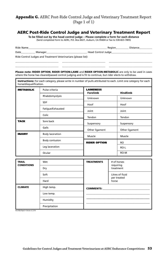#### **Appendix G.** AERC Post-Ride Control Judge and Veterinary Treatment Report (Page 1 of 1)

#### AERC Post-Ride Control Judge and Veterinary Treatment Report

**To be filled out by the head control judge – Please complete a form for each distance** (Send completed form to AERC, P.O. Box 6027, Auburn, CA 95604 or fax to 530-823-7805)

| <b>Ride Name</b> |                |                          |  |
|------------------|----------------|--------------------------|--|
| Date             | <b>Carl Co</b> | Head<br>Control .<br>. . |  |

Ride Control Judges and Treatment Veterinarians (please list):

\_\_\_\_\_\_\_\_\_\_\_\_\_\_\_\_\_\_\_\_\_\_\_\_\_\_\_\_\_\_\_\_\_\_ \_\_\_\_\_\_\_\_\_\_\_\_\_\_\_\_\_\_\_\_\_\_\_\_\_\_\_\_\_\_\_\_\_\_ \_\_\_\_\_\_\_\_\_\_\_\_\_\_\_\_\_\_\_\_\_\_\_\_\_\_\_\_\_\_\_\_\_\_ Please note: RIDER OPTION, RIDER OPTION-LAME and RIDER OPTION-METABOLIC are only to be used in cases where the horse has cleared/passed control judging and is fit to continue, but rider elects to withdraw.

\_\_\_\_\_\_\_\_\_\_\_\_\_\_\_\_\_\_\_\_\_\_\_\_\_\_\_\_\_\_\_\_\_\_ \_\_\_\_\_\_\_\_\_\_\_\_\_\_\_\_\_\_\_\_\_\_\_\_\_\_\_\_\_\_\_\_\_\_ \_\_\_\_\_\_\_\_\_\_\_\_\_\_\_\_\_\_\_\_\_\_\_\_\_\_\_\_\_\_\_\_\_\_

Instructions: For each category, please write in number of pulls attributed to each. Limit one category for each horse/disqualification.

| <b>METABOLIC</b>      | Pulse criteria         | <b>LAMENESS</b><br><b>Forelimb</b> | <b>Hindlimb</b> |  |
|-----------------------|------------------------|------------------------------------|-----------------|--|
|                       | Rhabdomyolysis         |                                    |                 |  |
|                       |                        | Unknown                            | Unknown         |  |
|                       | <b>SDF</b>             | Hoof                               | Hoof<br>Joint   |  |
|                       | Fatigue/Exhausted      | Joint                              |                 |  |
|                       | Colic                  | Tendon                             | Tendon          |  |
| <b>TACK</b>           | Sore back              | Suspensory                         | Suspensory      |  |
|                       | Galls                  | Other ligament                     | Other ligament  |  |
| <b>INJURY</b>         | <b>Body laceration</b> | Muscle                             | Muscle          |  |
| <b>Body contusion</b> |                        | <b>RIDER OPTION</b>                | <b>RO</b>       |  |
|                       | Leg laceration         |                                    | RO-L            |  |
|                       | Ocular                 |                                    | RO-M            |  |

| <b>TRAIL</b><br><b>CONDITIONS</b> | Wet           | <b>TREATMENTS</b> | # of horses<br>requiring<br>treatment                                                                                                                                                                                              |
|-----------------------------------|---------------|-------------------|------------------------------------------------------------------------------------------------------------------------------------------------------------------------------------------------------------------------------------|
|                                   | Dry           |                   |                                                                                                                                                                                                                                    |
|                                   | Soft          |                   | Litres of fluid<br>per treated                                                                                                                                                                                                     |
| Hard                              |               |                   | horse                                                                                                                                                                                                                              |
| <b>CLIMATE</b>                    | High temp.    |                   | <b>COMMENTS:</b> Note that the comments of the community of the community of the community of the community of the community of the community of the community of the community of the community of the community of the community |
|                                   | Low temp.     |                   |                                                                                                                                                                                                                                    |
|                                   | Humidity      |                   |                                                                                                                                                                                                                                    |
|                                   | Precipitation |                   |                                                                                                                                                                                                                                    |

Post Ride Report • Version 4.2 3/16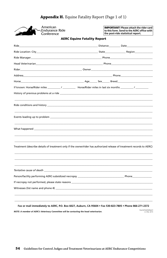| American<br>Endurance Ride-<br>Conference                                                                                                                                                                                            |  | <b>IMPORTANT!</b> Please attach the rider card<br>to this form. Send to the AERC office with<br>the post-ride statistical report. |
|--------------------------------------------------------------------------------------------------------------------------------------------------------------------------------------------------------------------------------------|--|-----------------------------------------------------------------------------------------------------------------------------------|
| <b>AERC Equine Fatality Report</b>                                                                                                                                                                                                   |  |                                                                                                                                   |
|                                                                                                                                                                                                                                      |  |                                                                                                                                   |
| Ride Location: City and the control of the control of the State of the Region Region                                                                                                                                                 |  |                                                                                                                                   |
|                                                                                                                                                                                                                                      |  |                                                                                                                                   |
| Head Veterinarian <b>Engineerial Community of the Community of the Community of the Community of the Community of the Community of the Community of the Community of the Community of the Community of the Community of the Comm</b> |  |                                                                                                                                   |
|                                                                                                                                                                                                                                      |  |                                                                                                                                   |
|                                                                                                                                                                                                                                      |  |                                                                                                                                   |
|                                                                                                                                                                                                                                      |  |                                                                                                                                   |
| If known: Horse/Rider miles ________/ _________ Horse/Rider miles in last six months ________/ __________                                                                                                                            |  |                                                                                                                                   |
|                                                                                                                                                                                                                                      |  |                                                                                                                                   |
|                                                                                                                                                                                                                                      |  |                                                                                                                                   |
|                                                                                                                                                                                                                                      |  |                                                                                                                                   |
| Treatment (describe details of treatment only if the owner/rider has authorized release of treatment records to AERC)                                                                                                                |  |                                                                                                                                   |
| Tentative cause of death that is a more continuously as a more continuously as a set of the continuous continuo                                                                                                                      |  |                                                                                                                                   |
|                                                                                                                                                                                                                                      |  |                                                                                                                                   |
|                                                                                                                                                                                                                                      |  |                                                                                                                                   |
|                                                                                                                                                                                                                                      |  |                                                                                                                                   |
|                                                                                                                                                                                                                                      |  |                                                                                                                                   |
|                                                                                                                                                                                                                                      |  |                                                                                                                                   |

### **Appendix H.** Equine Fatality Report (Page 1 of 1)

#### Fax or mail immediately to AERC, P.O. Box 6027, Auburn, CA 95604 . Fax 530-823-7805 . Phone 866-271-2372

NOTE: A member of AERC's Veterinary Committee will be contacting the head veterinarian.

EquineFatalityReport<br>2.2 Rev. 6/15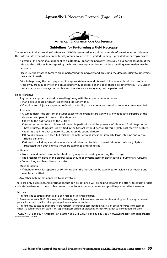#### **Appendix I.** Necropsy Protocol (Page 1 of 2)



#### Guidelines for Performing a Field Necropsy

The American Endurance Ride Conference (AERC) is interested in acquiring as much information as possible when the unfortunate event of an equine fatality occurs. To aid in this, limited funding is provided for necropsy exams.

- If possible, the horse should be sent to a pathology lab for the necropsy. However, if due to the location of the ride and the difficulty in transporting the horse, a necropsy performed by the attending veterinarian may be necessary.
- Please use the attached form to aid in performing the necropsy and providing the data necessary to determine the cause of death.
- Prior to beginning the necropsy exam the appropriate area and disposal of the animal should be considered. Areas away from public view and an adequate way to dispose of the body should be determined. AERC under stands this may not always be possible and therefore a necropsy may not be performed.

Field Necropsy:

- A systematic approach should be used beginning with the suspected area of interest.
	- $\checkmark$  If an obvious cause of death is identified, document this.
	- $\checkmark$  If a spinal cord injury is suspected referral to a facility that can remove the spinal column is recommended.
- Abdomen:
	- A curved flank incision from the tuber coxae to the xyphoid cartilage will allow adequate exposure of the abdomen and permit closure of the abdomen.
		- **X** Identify the positioning of the GI tract.
		- 8 Ante-mortem rupture of bowel will result in peritonitis and the presence of fibrin and fibrin tags on the bowel surface. If ingesta is identified in the GI tract without peritonitis this is likely post-mortem rupture.
		- 8 Identify any intestinal compromise and cause (ie strangulation)
		- 8 If no obvious cause is seen full thickness samples of small intestine, stomach, large intestine and cecum should be taken.
		- 8 At least one kidney should be removed and submitted for histo. If renal failure or rhabdomyolysis is suspected then both kidneys should be examined and submitted.
- Thorax:
	- $\checkmark$  From the abdominal incision the chest cavity may be entered by removing the rib cage.

The presence of blood in the pleural space should be investigated for either aortic or pulmonary ruptures.  $\checkmark$  Submit lung and heart tissue for histo.

- Musculoskeletal:
	- $\angle$  If rhabdomolysis is suspected or confirmed then the muscles can be examined for evidence of necrosis and samples submitted.
- Any other system that appeared to be involved.

These are only guidelines. All information that can be obtained will be helpful towards the efforts to educate riders and veterinarians as to the possible causes of deaths in endurance horses and possible preventative measures.

#### **Notes**

1. This form is to be completed when a field or in hospital necropsy is performed.

2. Please submit to the AERC office along with the fatality report. If tissues have been sent for histopathology this form may be returned prior to those results and the pathologists report forwarded when available.

3. This form may be used as a guideline for the necropsy information. Please include those areas of clinical relevance to the cause of death. If a definitive cause of death is not apparent please perform as thorough a necropsy evaluation as the conditions will allow.

**AERC • P.O. Box 6027 • Auburn, CA 95604 • 866-271-2372 • Fax 530-823-7805 • www.aerc.org • office@aerc.org** stMortemExam 1.2 Rev. 4/16